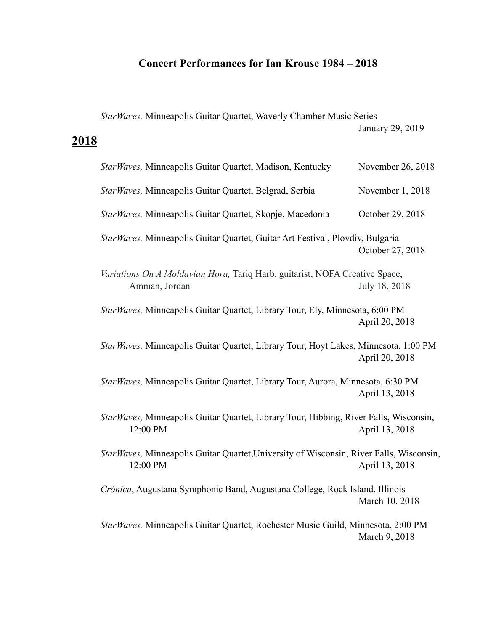# **Concert Performances for Ian Krouse 1984 – 2018**

*StarWaves,* Minneapolis Guitar Quartet, Waverly Chamber Music Series January 29, 2019

# **2018**

| StarWaves, Minneapolis Guitar Quartet, Madison, Kentucky                                             | November 26, 2018 |
|------------------------------------------------------------------------------------------------------|-------------------|
| StarWaves, Minneapolis Guitar Quartet, Belgrad, Serbia                                               | November 1, 2018  |
| StarWaves, Minneapolis Guitar Quartet, Skopje, Macedonia                                             | October 29, 2018  |
| Star Waves, Minneapolis Guitar Quartet, Guitar Art Festival, Plovdiv, Bulgaria                       | October 27, 2018  |
| Variations On A Moldavian Hora, Tariq Harb, guitarist, NOFA Creative Space,<br>Amman, Jordan         | July 18, 2018     |
| StarWaves, Minneapolis Guitar Quartet, Library Tour, Ely, Minnesota, 6:00 PM                         | April 20, 2018    |
| StarWaves, Minneapolis Guitar Quartet, Library Tour, Hoyt Lakes, Minnesota, 1:00 PM                  | April 20, 2018    |
| StarWaves, Minneapolis Guitar Quartet, Library Tour, Aurora, Minnesota, 6:30 PM                      | April 13, 2018    |
| StarWaves, Minneapolis Guitar Quartet, Library Tour, Hibbing, River Falls, Wisconsin,<br>12:00 PM    | April 13, 2018    |
| Star Waves, Minneapolis Guitar Quartet, University of Wisconsin, River Falls, Wisconsin,<br>12:00 PM | April 13, 2018    |
| Crónica, Augustana Symphonic Band, Augustana College, Rock Island, Illinois                          | March 10, 2018    |
| StarWaves, Minneapolis Guitar Quartet, Rochester Music Guild, Minnesota, 2:00 PM                     | March 9, 2018     |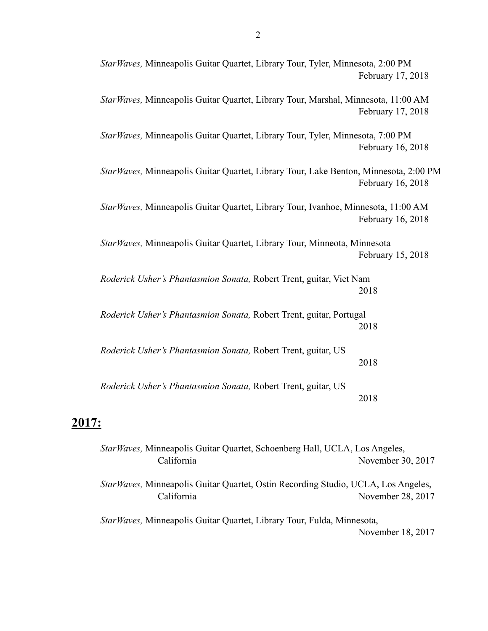| StarWaves, Minneapolis Guitar Quartet, Library Tour, Tyler, Minnesota, 2:00 PM        | February 17, 2018 |
|---------------------------------------------------------------------------------------|-------------------|
| StarWaves, Minneapolis Guitar Quartet, Library Tour, Marshal, Minnesota, 11:00 AM     | February 17, 2018 |
| StarWaves, Minneapolis Guitar Quartet, Library Tour, Tyler, Minnesota, 7:00 PM        | February 16, 2018 |
| Star Waves, Minneapolis Guitar Quartet, Library Tour, Lake Benton, Minnesota, 2:00 PM | February 16, 2018 |
| StarWaves, Minneapolis Guitar Quartet, Library Tour, Ivanhoe, Minnesota, 11:00 AM     | February 16, 2018 |
| Star Waves, Minneapolis Guitar Quartet, Library Tour, Minneota, Minnesota             | February 15, 2018 |
| Roderick Usher's Phantasmion Sonata, Robert Trent, guitar, Viet Nam                   | 2018              |
| Roderick Usher's Phantasmion Sonata, Robert Trent, guitar, Portugal                   | 2018              |
| Roderick Usher's Phantasmion Sonata, Robert Trent, guitar, US                         | 2018              |
| Roderick Usher's Phantasmion Sonata, Robert Trent, guitar, US                         | 2018              |
|                                                                                       |                   |

# **2017:**

*StarWaves,* Minneapolis Guitar Quartet, Schoenberg Hall, UCLA, Los Angeles, California November 30, 2017 *StarWaves,* Minneapolis Guitar Quartet, Ostin Recording Studio, UCLA, Los Angeles, California November 28, 2017 *StarWaves,* Minneapolis Guitar Quartet, Library Tour, Fulda, Minnesota, November 18, 2017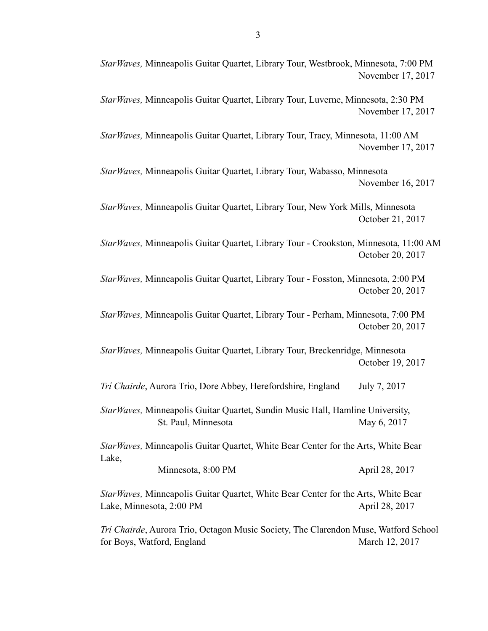*StarWaves,* Minneapolis Guitar Quartet, Library Tour, Westbrook, Minnesota, 7:00 PM November 17, 2017

*StarWaves,* Minneapolis Guitar Quartet, Library Tour, Luverne, Minnesota, 2:30 PM November 17, 2017

*StarWaves,* Minneapolis Guitar Quartet, Library Tour, Tracy, Minnesota, 11:00 AM November 17, 2017

*StarWaves,* Minneapolis Guitar Quartet, Library Tour, Wabasso, Minnesota November 16, 2017

*StarWaves,* Minneapolis Guitar Quartet, Library Tour, New York Mills, Minnesota October 21, 2017

*StarWaves,* Minneapolis Guitar Quartet, Library Tour - Crookston, Minnesota, 11:00 AM October 20, 2017

*StarWaves,* Minneapolis Guitar Quartet, Library Tour - Fosston, Minnesota, 2:00 PM October 20, 2017

*StarWaves,* Minneapolis Guitar Quartet, Library Tour - Perham, Minnesota, 7:00 PM October 20, 2017

*StarWaves,* Minneapolis Guitar Quartet, Library Tour, Breckenridge, Minnesota October 19, 2017

*Trí Chairde*, Aurora Trio, Dore Abbey, Herefordshire, England July 7, 2017

*StarWaves,* Minneapolis Guitar Quartet, Sundin Music Hall, Hamline University, St. Paul, Minnesota May 6, 2017

*StarWaves,* Minneapolis Guitar Quartet, White Bear Center for the Arts, White Bear Lake,

| Minnesota, 8:00 PM | April 28, 2017 |
|--------------------|----------------|
|                    |                |

*StarWaves,* Minneapolis Guitar Quartet, White Bear Center for the Arts, White Bear Lake, Minnesota, 2:00 PM April 28, 2017

*Trí Chairde*, Aurora Trio, Octagon Music Society, The Clarendon Muse, Watford School for Boys, Watford, England March 12, 2017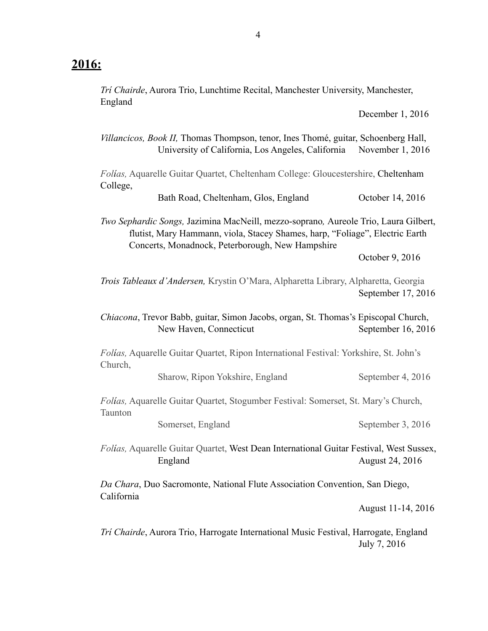## **2016:**

College,

*Trí Chairde*, Aurora Trio, Lunchtime Recital, Manchester University, Manchester, England

December 1, 2016

*Villancicos, Book II,* Thomas Thompson, tenor, Ines Thomé, guitar, Schoenberg Hall, University of California, Los Angeles, California November 1, 2016 *Folías,* Aquarelle Guitar Quartet, Cheltenham College: Gloucestershire, Cheltenham

Bath Road, Cheltenham, Glos, England October 14, 2016

*Two Sephardic Songs,* Jazimina MacNeill, mezzo-soprano*,* Aureole Trio, Laura Gilbert, flutist, Mary Hammann, viola, Stacey Shames, harp, "Foliage", Electric Earth Concerts, Monadnock, Peterborough, New Hampshire

October 9, 2016

*Trois Tableaux d'Andersen,* Krystin O'Mara, Alpharetta Library, Alpharetta, Georgia September 17, 2016

*Chiacona*, Trevor Babb, guitar, Simon Jacobs, organ, St. Thomas's Episcopal Church, New Haven, Connecticut September 16, 2016

*Folías,* Aquarelle Guitar Quartet, Ripon International Festival: Yorkshire, St. John's Church,

Sharow, Ripon Yokshire, England September 4, 2016

*Folías,* Aquarelle Guitar Quartet, Stogumber Festival: Somerset, St. Mary's Church, Taunton

Somerset, England September 3, 2016

*Folías,* Aquarelle Guitar Quartet, West Dean International Guitar Festival, West Sussex, England August 24, 2016

*Da Chara*, Duo Sacromonte, National Flute Association Convention, San Diego, California

August 11-14, 2016

*Trí Chairde*, Aurora Trio, Harrogate International Music Festival, Harrogate, England July 7, 2016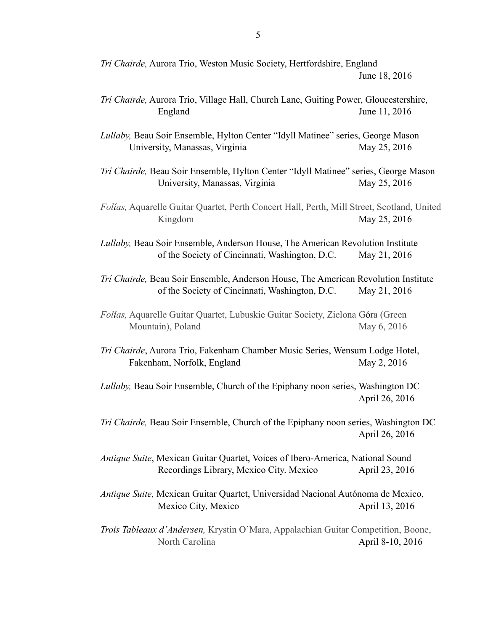| Trí Chairde, Aurora Trio, Weston Music Society, Hertfordshire, England |
|------------------------------------------------------------------------|
| June 18, 2016                                                          |

- *Trí Chairde,* Aurora Trio, Village Hall, Church Lane, Guiting Power, Gloucestershire, England June 11, 2016
- *Lullaby,* Beau Soir Ensemble, Hylton Center "Idyll Matinee" series, George Mason University, Manassas, Virginia May 25, 2016
- *Trí Chairde,* Beau Soir Ensemble, Hylton Center "Idyll Matinee" series, George Mason University, Manassas, Virginia May 25, 2016
- *Folías,* Aquarelle Guitar Quartet, Perth Concert Hall, Perth, Mill Street, Scotland, United Kingdom May 25, 2016

*Lullaby,* Beau Soir Ensemble, Anderson House, The American Revolution Institute of the Society of Cincinnati, Washington, D.C. May 21, 2016

*Trí Chairde,* Beau Soir Ensemble, Anderson House, The American Revolution Institute of the Society of Cincinnati, Washington, D.C. May 21, 2016

*Trí Chairde*, Aurora Trio, Fakenham Chamber Music Series, Wensum Lodge Hotel, Fakenham, Norfolk, England May 2, 2016

*Lullaby,* Beau Soir Ensemble, Church of the Epiphany noon series, Washington DC April 26, 2016

*Trí Chairde,* Beau Soir Ensemble, Church of the Epiphany noon series, Washington DC April 26, 2016

*Antique Suite*, Mexican Guitar Quartet, Voices of Ibero-America, National Sound Recordings Library, Mexico City. Mexico April 23, 2016

- *Antique Suite,* Mexican Guitar Quartet, Universidad Nacional Autónoma de Mexico, Mexico City, Mexico **April 13**, 2016
- *Trois Tableaux d'Andersen,* Krystin O'Mara, Appalachian Guitar Competition, Boone, North Carolina April 8-10, 2016

*Folías,* Aquarelle Guitar Quartet, Lubuskie Guitar Society, Zielona Góra (Green Mountain), Poland May 6, 2016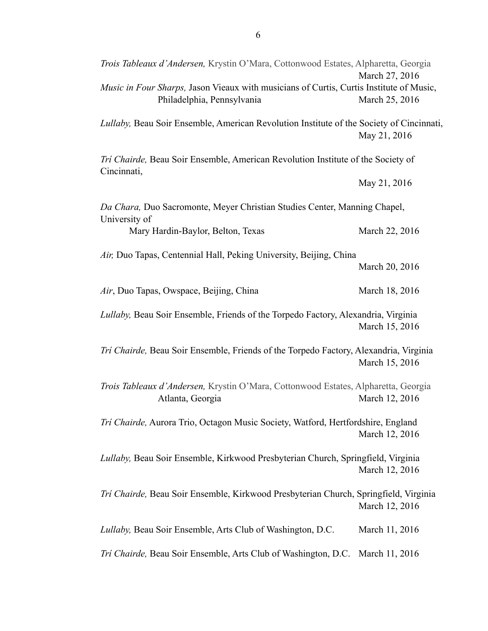| Trois Tableaux d'Andersen, Krystin O'Mara, Cottonwood Estates, Alpharetta, Georgia                                    | March 27, 2016 |
|-----------------------------------------------------------------------------------------------------------------------|----------------|
| Music in Four Sharps, Jason Vieaux with musicians of Curtis, Curtis Institute of Music,<br>Philadelphia, Pennsylvania | March 25, 2016 |
| Lullaby, Beau Soir Ensemble, American Revolution Institute of the Society of Cincinnati,                              | May 21, 2016   |
| Tri Chairde, Beau Soir Ensemble, American Revolution Institute of the Society of<br>Cincinnati,                       |                |
|                                                                                                                       | May 21, 2016   |
| Da Chara, Duo Sacromonte, Meyer Christian Studies Center, Manning Chapel,<br>University of                            |                |
| Mary Hardin-Baylor, Belton, Texas                                                                                     | March 22, 2016 |
| Air, Duo Tapas, Centennial Hall, Peking University, Beijing, China                                                    |                |
|                                                                                                                       | March 20, 2016 |
| Air, Duo Tapas, Owspace, Beijing, China                                                                               | March 18, 2016 |
| Lullaby, Beau Soir Ensemble, Friends of the Torpedo Factory, Alexandria, Virginia                                     | March 15, 2016 |
| Tri Chairde, Beau Soir Ensemble, Friends of the Torpedo Factory, Alexandria, Virginia                                 | March 15, 2016 |
| Trois Tableaux d'Andersen, Krystin O'Mara, Cottonwood Estates, Alpharetta, Georgia<br>Atlanta, Georgia                | March 12, 2016 |
| Tri Chairde, Aurora Trio, Octagon Music Society, Watford, Hertfordshire, England                                      | March 12, 2016 |
| Lullaby, Beau Soir Ensemble, Kirkwood Presbyterian Church, Springfield, Virginia                                      | March 12, 2016 |
| Tri Chairde, Beau Soir Ensemble, Kirkwood Presbyterian Church, Springfield, Virginia                                  | March 12, 2016 |
| Lullaby, Beau Soir Ensemble, Arts Club of Washington, D.C.                                                            | March 11, 2016 |
| Tri Chairde, Beau Soir Ensemble, Arts Club of Washington, D.C. March 11, 2016                                         |                |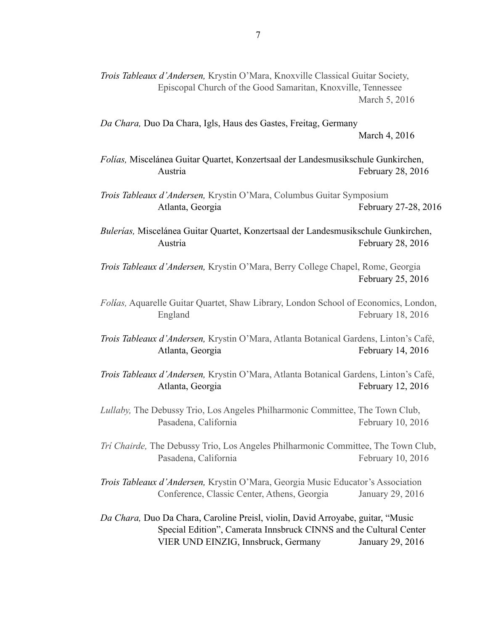| Trois Tableaux d'Andersen, Krystin O'Mara, Knoxville Classical Guitar Society,<br>Episcopal Church of the Good Samaritan, Knoxville, Tennessee                                               | March 5, 2016        |
|----------------------------------------------------------------------------------------------------------------------------------------------------------------------------------------------|----------------------|
| Da Chara, Duo Da Chara, Igls, Haus des Gastes, Freitag, Germany                                                                                                                              | March 4, 2016        |
| Folías, Miscelánea Guitar Quartet, Konzertsaal der Landesmusikschule Gunkirchen,<br>Austria                                                                                                  | February 28, 2016    |
| Trois Tableaux d'Andersen, Krystin O'Mara, Columbus Guitar Symposium<br>Atlanta, Georgia                                                                                                     | February 27-28, 2016 |
| Bulerías, Miscelánea Guitar Quartet, Konzertsaal der Landesmusikschule Gunkirchen,<br>Austria                                                                                                | February 28, 2016    |
| Trois Tableaux d'Andersen, Krystin O'Mara, Berry College Chapel, Rome, Georgia                                                                                                               | February 25, 2016    |
| Folias, Aquarelle Guitar Quartet, Shaw Library, London School of Economics, London,<br>England                                                                                               | February 18, 2016    |
| Trois Tableaux d'Andersen, Krystin O'Mara, Atlanta Botanical Gardens, Linton's Café,<br>Atlanta, Georgia                                                                                     | February 14, 2016    |
| Trois Tableaux d'Andersen, Krystin O'Mara, Atlanta Botanical Gardens, Linton's Café,<br>Atlanta, Georgia                                                                                     | February 12, 2016    |
| Lullaby, The Debussy Trio, Los Angeles Philharmonic Committee, The Town Club,<br>Pasadena, California                                                                                        | February 10, 2016    |
| Tri Chairde, The Debussy Trio, Los Angeles Philharmonic Committee, The Town Club,<br>Pasadena, California                                                                                    | February 10, 2016    |
| Trois Tableaux d'Andersen, Krystin O'Mara, Georgia Music Educator's Association<br>Conference, Classic Center, Athens, Georgia                                                               | January 29, 2016     |
| Da Chara, Duo Da Chara, Caroline Preisl, violin, David Arroyabe, guitar, "Music<br>Special Edition", Camerata Innsbruck CINNS and the Cultural Center<br>VIER UND EINZIG, Innsbruck, Germany | January 29, 2016     |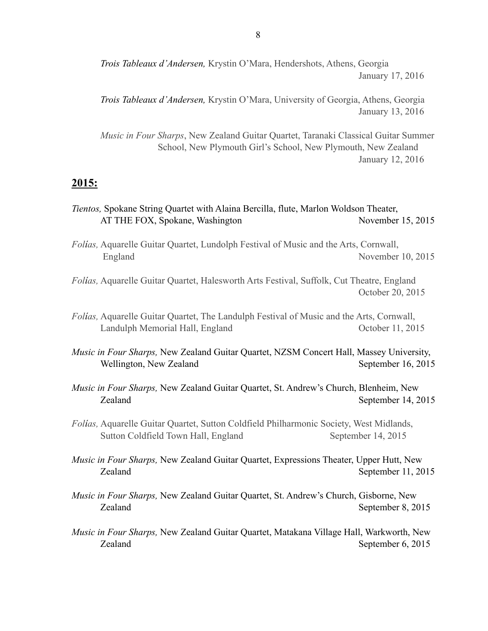*Trois Tableaux d'Andersen,* Krystin O'Mara, Hendershots, Athens, Georgia January 17, 2016

*Trois Tableaux d'Andersen,* Krystin O'Mara, University of Georgia, Athens, Georgia January 13, 2016

*Music in Four Sharps*, New Zealand Guitar Quartet, Taranaki Classical Guitar Summer School, New Plymouth Girl's School, New Plymouth, New Zealand January 12, 2016

#### **2015:**

- *Tientos,* Spokane String Quartet with Alaina Bercilla, flute, Marlon Woldson Theater, AT THE FOX, Spokane, Washington November 15, 2015
- *Folías,* Aquarelle Guitar Quartet, Lundolph Festival of Music and the Arts, Cornwall, England November 10, 2015

*Folías,* Aquarelle Guitar Quartet, Halesworth Arts Festival, Suffolk, Cut Theatre, England October 20, 2015

- *Folías,* Aquarelle Guitar Quartet, The Landulph Festival of Music and the Arts, Cornwall, Landulph Memorial Hall, England October 11, 2015
- *Music in Four Sharps,* New Zealand Guitar Quartet, NZSM Concert Hall, Massey University, Wellington, New Zealand September 16, 2015
- *Music in Four Sharps,* New Zealand Guitar Quartet, St. Andrew's Church, Blenheim, New Zealand September 14, 2015

*Folías,* Aquarelle Guitar Quartet, Sutton Coldfield Philharmonic Society, West Midlands, Sutton Coldfield Town Hall, England September 14, 2015

- *Music in Four Sharps,* New Zealand Guitar Quartet, Expressions Theater, Upper Hutt, New Zealand September 11, 2015
- *Music in Four Sharps,* New Zealand Guitar Quartet, St. Andrew's Church, Gisborne, New Zealand September 8, 2015
- *Music in Four Sharps,* New Zealand Guitar Quartet, Matakana Village Hall, Warkworth, New Zealand September 6, 2015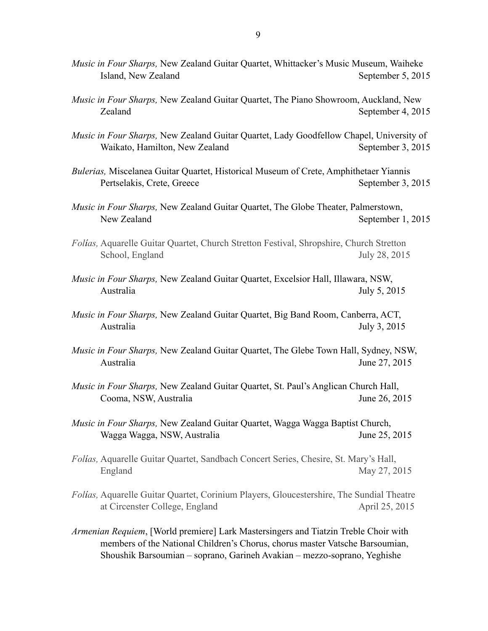*Music in Four Sharps,* New Zealand Guitar Quartet, Whittacker's Music Museum, Waiheke Island, New Zealand September 5, 2015 *Music in Four Sharps,* New Zealand Guitar Quartet, The Piano Showroom, Auckland, New Zealand September 4, 2015 *Music in Four Sharps,* New Zealand Guitar Quartet, Lady Goodfellow Chapel, University of Waikato, Hamilton, New Zealand September 3, 2015 *Bulerias,* Miscelanea Guitar Quartet, Historical Museum of Crete, Amphithetaer Yiannis Pertselakis, Crete, Greece September 3, 2015 *Music in Four Sharps,* New Zealand Guitar Quartet, The Globe Theater, Palmerstown, New Zealand September 1, 2015 *Folías,* Aquarelle Guitar Quartet, Church Stretton Festival, Shropshire, Church Stretton School, England July 28, 2015 *Music in Four Sharps,* New Zealand Guitar Quartet, Excelsior Hall, Illawara, NSW, Australia July 5, 2015 *Music in Four Sharps,* New Zealand Guitar Quartet, Big Band Room, Canberra, ACT, Australia July 3, 2015 *Music in Four Sharps,* New Zealand Guitar Quartet, The Glebe Town Hall, Sydney, NSW, Australia June 27, 2015 *Music in Four Sharps,* New Zealand Guitar Quartet, St. Paul's Anglican Church Hall, Cooma, NSW, Australia June 26, 2015 *Music in Four Sharps,* New Zealand Guitar Quartet, Wagga Wagga Baptist Church, Wagga Wagga, NSW, Australia June 25, 2015 *Folías,* Aquarelle Guitar Quartet, Sandbach Concert Series, Chesire, St. Mary's Hall, England May 27, 2015 *Folías,* Aquarelle Guitar Quartet, Corinium Players, Gloucestershire, The Sundial Theatre at Circenster College, England April 25, 2015 *Armenian Requiem*, [World premiere] Lark Mastersingers and Tiatzin Treble Choir with members of the National Children's Chorus, chorus master Vatsche Barsoumian, Shoushik Barsoumian – soprano, Garineh Avakian – mezzo-soprano, Yeghishe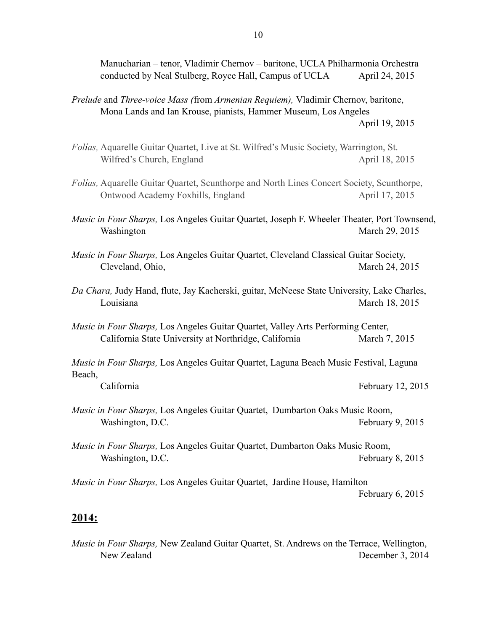Manucharian – tenor, Vladimir Chernov – baritone, UCLA Philharmonia Orchestra conducted by Neal Stulberg, Royce Hall, Campus of UCLA April 24, 2015

- *Prelude* and *Three-voice Mass (*from *Armenian Requiem),* Vladimir Chernov, baritone, Mona Lands and Ian Krouse, pianists, Hammer Museum, Los Angeles April 19, 2015
- *Folías,* Aquarelle Guitar Quartet, Live at St. Wilfred's Music Society, Warrington, St. Wilfred's Church, England April 18, 2015
- *Folías,* Aquarelle Guitar Quartet, Scunthorpe and North Lines Concert Society, Scunthorpe, Ontwood Academy Foxhills, England April 17, 2015
- *Music in Four Sharps,* Los Angeles Guitar Quartet, Joseph F. Wheeler Theater, Port Townsend, Washington March 29, 2015
- *Music in Four Sharps,* Los Angeles Guitar Quartet, Cleveland Classical Guitar Society, Cleveland, Ohio, March 24, 2015
- *Da Chara,* Judy Hand, flute, Jay Kacherski, guitar, McNeese State University, Lake Charles, Louisiana March 18, 2015
- *Music in Four Sharps,* Los Angeles Guitar Quartet, Valley Arts Performing Center, California State University at Northridge, California March 7, 2015

*Music in Four Sharps,* Los Angeles Guitar Quartet, Laguna Beach Music Festival, Laguna Beach,

California February 12, 2015

- *Music in Four Sharps,* Los Angeles Guitar Quartet, Dumbarton Oaks Music Room, Washington, D.C. **February 9, 2015**
- *Music in Four Sharps,* Los Angeles Guitar Quartet, Dumbarton Oaks Music Room, Washington, D.C. **February 8, 2015**
- *Music in Four Sharps,* Los Angeles Guitar Quartet, Jardine House, Hamilton February 6, 2015

#### **2014:**

*Music in Four Sharps,* New Zealand Guitar Quartet, St. Andrews on the Terrace, Wellington, New Zealand December 3, 2014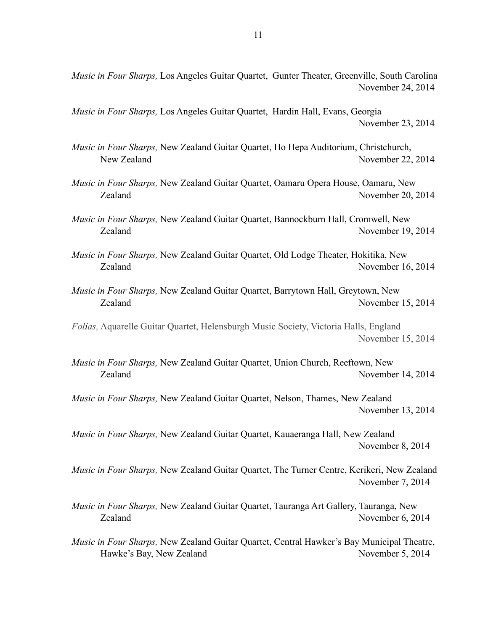*Music in Four Sharps,* Los Angeles Guitar Quartet, Gunter Theater, Greenville, South Carolina November 24, 2014

*Music in Four Sharps,* Los Angeles Guitar Quartet, Hardin Hall, Evans, Georgia November 23, 2014

*Music in Four Sharps,* New Zealand Guitar Quartet, Ho Hepa Auditorium, Christchurch, New Zealand November 22, 2014

*Music in Four Sharps,* New Zealand Guitar Quartet, Oamaru Opera House, Oamaru, New Zealand November 20, 2014

*Music in Four Sharps,* New Zealand Guitar Quartet, Bannockburn Hall, Cromwell, New Zealand November 19, 2014

*Music in Four Sharps,* New Zealand Guitar Quartet, Old Lodge Theater, Hokitika, New Zealand November 16, 2014

*Music in Four Sharps,* New Zealand Guitar Quartet, Barrytown Hall, Greytown, New Zealand November 15, 2014

*Folías,* Aquarelle Guitar Quartet, Helensburgh Music Society, Victoria Halls, England November 15, 2014

*Music in Four Sharps,* New Zealand Guitar Quartet, Union Church, Reeftown, New Zealand November 14, 2014

*Music in Four Sharps,* New Zealand Guitar Quartet, Nelson, Thames, New Zealand November 13, 2014

*Music in Four Sharps,* New Zealand Guitar Quartet, Kauaeranga Hall, New Zealand November 8, 2014

*Music in Four Sharps,* New Zealand Guitar Quartet, The Turner Centre, Kerikeri, New Zealand November 7, 2014

*Music in Four Sharps,* New Zealand Guitar Quartet, Tauranga Art Gallery, Tauranga, New Zealand November 6, 2014

*Music in Four Sharps,* New Zealand Guitar Quartet, Central Hawker's Bay Municipal Theatre, Hawke's Bay, New Zealand November 5, 2014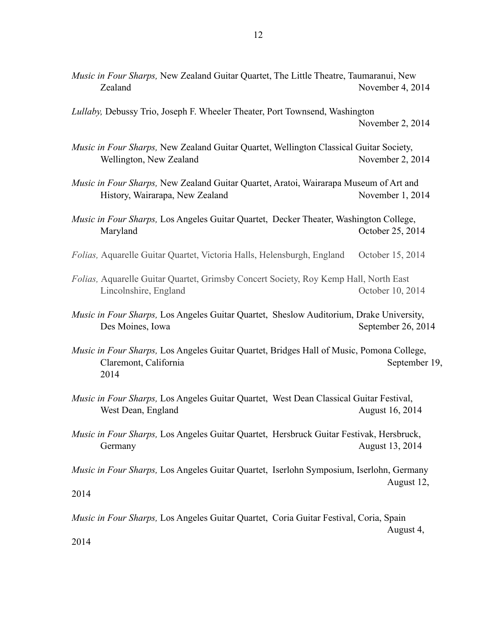*Lullaby,* Debussy Trio, Joseph F. Wheeler Theater, Port Townsend, Washington November 2, 2014

*Music in Four Sharps,* New Zealand Guitar Quartet, Wellington Classical Guitar Society, Wellington, New Zealand November 2, 2014

*Music in Four Sharps,* New Zealand Guitar Quartet, Aratoi, Wairarapa Museum of Art and History, Wairarapa, New Zealand November 1, 2014

*Music in Four Sharps,* Los Angeles Guitar Quartet, Decker Theater, Washington College, Maryland October 25, 2014

*Folias,* Aquarelle Guitar Quartet, Victoria Halls, Helensburgh, England October 15, 2014

*Folias,* Aquarelle Guitar Quartet, Grimsby Concert Society, Roy Kemp Hall, North East Lincolnshire, England October 10, 2014

- *Music in Four Sharps,* Los Angeles Guitar Quartet, Sheslow Auditorium, Drake University, Des Moines, Iowa September 26, 2014
- *Music in Four Sharps,* Los Angeles Guitar Quartet, Bridges Hall of Music, Pomona College, Claremont, California September 19, 2014
- *Music in Four Sharps,* Los Angeles Guitar Quartet, West Dean Classical Guitar Festival, West Dean, England August 16, 2014
- *Music in Four Sharps,* Los Angeles Guitar Quartet, Hersbruck Guitar Festivak, Hersbruck, Germany August 13, 2014

*Music in Four Sharps,* Los Angeles Guitar Quartet, Iserlohn Symposium, Iserlohn, Germany August 12,

2014

*Music in Four Sharps,* Los Angeles Guitar Quartet, Coria Guitar Festival, Coria, Spain

August 4,

2014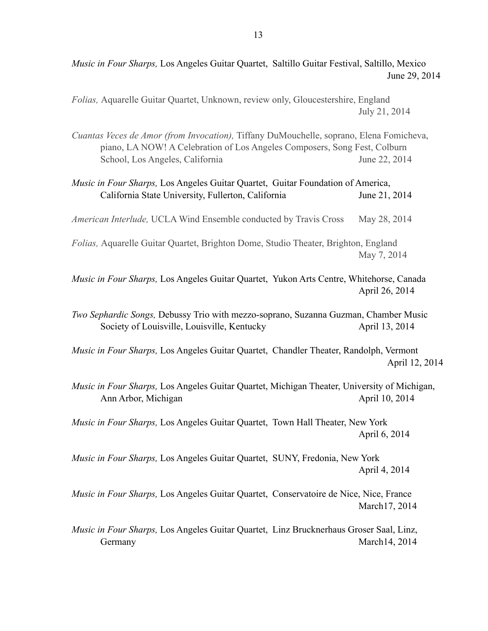*Music in Four Sharps,* Los Angeles Guitar Quartet, Saltillo Guitar Festival, Saltillo, Mexico June 29, 2014

*Folias,* Aquarelle Guitar Quartet, Unknown, review only, Gloucestershire, England July 21, 2014

*Cuantas Veces de Amor (from Invocation),* Tiffany DuMouchelle, soprano, Elena Fomicheva, piano, LA NOW! A Celebration of Los Angeles Composers, Song Fest, Colburn School, Los Angeles, California June 22, 2014

| Music in Four Sharps, Los Angeles Guitar Quartet, Guitar Foundation of America,                                                    |                |
|------------------------------------------------------------------------------------------------------------------------------------|----------------|
| California State University, Fullerton, California                                                                                 | June 21, 2014  |
| American Interlude, UCLA Wind Ensemble conducted by Travis Cross                                                                   | May 28, 2014   |
| Folias, Aquarelle Guitar Quartet, Brighton Dome, Studio Theater, Brighton, England                                                 | May 7, 2014    |
| Music in Four Sharps, Los Angeles Guitar Quartet, Yukon Arts Centre, Whitehorse, Canada                                            | April 26, 2014 |
| Two Sephardic Songs, Debussy Trio with mezzo-soprano, Suzanna Guzman, Chamber Music<br>Society of Louisville, Louisville, Kentucky | April 13, 2014 |
| Music in Four Sharps, Los Angeles Guitar Quartet, Chandler Theater, Randolph, Vermont                                              | April 12, 2014 |
| Music in Four Sharps, Los Angeles Guitar Quartet, Michigan Theater, University of Michigan,<br>Ann Arbor, Michigan                 | April 10, 2014 |
| Music in Four Sharps, Los Angeles Guitar Quartet, Town Hall Theater, New York                                                      | April 6, 2014  |
| Music in Four Sharps, Los Angeles Guitar Quartet, SUNY, Fredonia, New York                                                         | April 4, 2014  |
| Music in Four Sharps, Los Angeles Guitar Quartet, Conservatoire de Nice, Nice, France                                              | March17, 2014  |
| Music in Four Sharps, Los Angeles Guitar Quartet, Linz Brucknerhaus Groser Saal, Linz,<br>Germany                                  | March14, 2014  |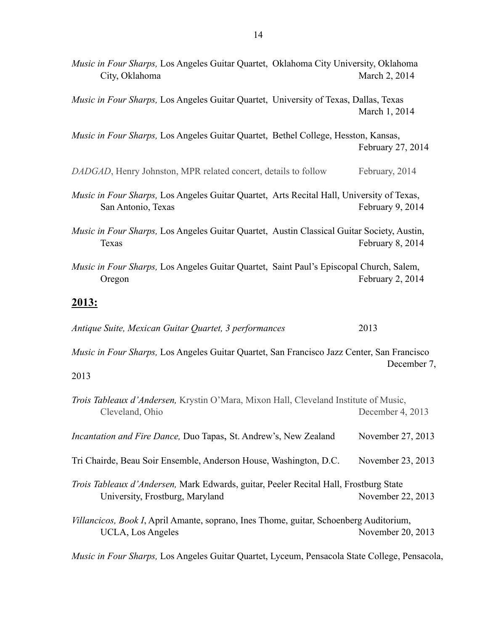| Music in Four Sharps, Los Angeles Guitar Quartet, Oklahoma City University, Oklahoma<br>City, Oklahoma                   | March 2, 2014     |
|--------------------------------------------------------------------------------------------------------------------------|-------------------|
| Music in Four Sharps, Los Angeles Guitar Quartet, University of Texas, Dallas, Texas                                     | March 1, 2014     |
| Music in Four Sharps, Los Angeles Guitar Quartet, Bethel College, Hesston, Kansas,                                       | February 27, 2014 |
| DADGAD, Henry Johnston, MPR related concert, details to follow                                                           | February, 2014    |
| Music in Four Sharps, Los Angeles Guitar Quartet, Arts Recital Hall, University of Texas,<br>San Antonio, Texas          | February 9, 2014  |
| Music in Four Sharps, Los Angeles Guitar Quartet, Austin Classical Guitar Society, Austin,<br>Texas                      | February 8, 2014  |
| Music in Four Sharps, Los Angeles Guitar Quartet, Saint Paul's Episcopal Church, Salem,<br>Oregon                        | February 2, 2014  |
| <u> 2013:</u>                                                                                                            |                   |
| Antique Suite, Mexican Guitar Quartet, 3 performances                                                                    | 2013              |
| Music in Four Sharps, Los Angeles Guitar Quartet, San Francisco Jazz Center, San Francisco                               | December 7,       |
| 2013                                                                                                                     |                   |
| Trois Tableaux d'Andersen, Krystin O'Mara, Mixon Hall, Cleveland Institute of Music,<br>Cleveland, Ohio                  | December 4, 2013  |
| Incantation and Fire Dance, Duo Tapas, St. Andrew's, New Zealand                                                         | November 27, 2013 |
| Tri Chairde, Beau Soir Ensemble, Anderson House, Washington, D.C.                                                        | November 23, 2013 |
| Trois Tableaux d'Andersen, Mark Edwards, guitar, Peeler Recital Hall, Frostburg State<br>University, Frostburg, Maryland | November 22, 2013 |
| Villancicos, Book I, April Amante, soprano, Ines Thome, guitar, Schoenberg Auditorium,<br>UCLA, Los Angeles              | November 20, 2013 |

*Music in Four Sharps,* Los Angeles Guitar Quartet, Lyceum, Pensacola State College, Pensacola,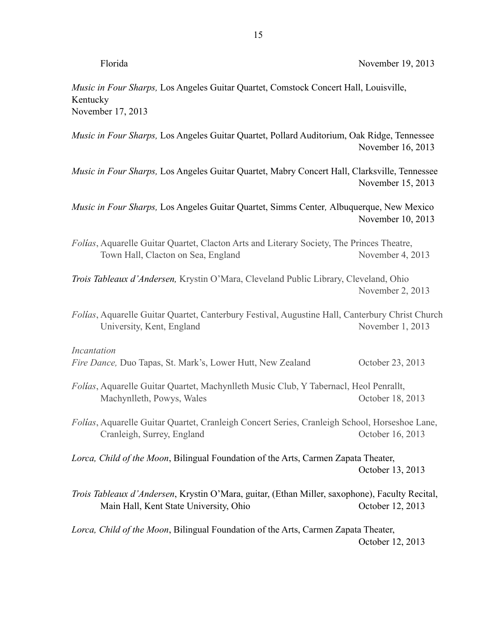| ١r | í  |
|----|----|
|    | ч. |

 $\alpha$  November 19, 2013

*Music in Four Sharps,* Los Angeles Guitar Quartet, Comstock Concert Hall, Louisville, Kentucky November 17, 2013

*Music in Four Sharps,* Los Angeles Guitar Quartet, Pollard Auditorium, Oak Ridge, Tennessee November 16, 2013

*Music in Four Sharps,* Los Angeles Guitar Quartet, Mabry Concert Hall, Clarksville, Tennessee November 15, 2013

*Music in Four Sharps,* Los Angeles Guitar Quartet, Simms Center*,* Albuquerque, New Mexico November 10, 2013

*Folías*, Aquarelle Guitar Quartet, Clacton Arts and Literary Society, The Princes Theatre, Town Hall, Clacton on Sea, England November 4, 2013

*Trois Tableaux d'Andersen,* Krystin O'Mara, Cleveland Public Library, Cleveland, Ohio November 2, 2013

*Folías*, Aquarelle Guitar Quartet, Canterbury Festival, Augustine Hall, Canterbury Christ Church University, Kent, England November 1, 2013

*Incantation*

*Fire Dance, Duo Tapas, St. Mark's, Lower Hutt, New Zealand October 23, 2013* 

*Folías*, Aquarelle Guitar Quartet, Machynlleth Music Club, Y Tabernacl, Heol Penrallt, Machynlleth, Powys, Wales October 18, 2013

*Folías*, Aquarelle Guitar Quartet, Cranleigh Concert Series, Cranleigh School, Horseshoe Lane, Cranleigh, Surrey, England October 16, 2013

*Lorca, Child of the Moon*, Bilingual Foundation of the Arts, Carmen Zapata Theater, October 13, 2013

*Trois Tableaux d'Andersen*, Krystin O'Mara, guitar, (Ethan Miller, saxophone), Faculty Recital, Main Hall, Kent State University, Ohio October 12, 2013

*Lorca, Child of the Moon*, Bilingual Foundation of the Arts, Carmen Zapata Theater, October 12, 2013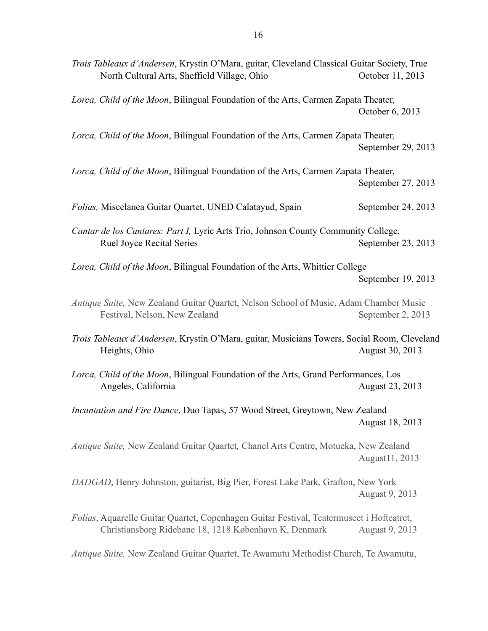| Trois Tableaux d'Andersen, Krystin O'Mara, guitar, Cleveland Classical Guitar Society, True<br>North Cultural Arts, Sheffield Village, Ohio       | October 11, 2013   |
|---------------------------------------------------------------------------------------------------------------------------------------------------|--------------------|
| Lorca, Child of the Moon, Bilingual Foundation of the Arts, Carmen Zapata Theater,                                                                | October 6, 2013    |
| Lorca, Child of the Moon, Bilingual Foundation of the Arts, Carmen Zapata Theater,                                                                | September 29, 2013 |
| Lorca, Child of the Moon, Bilingual Foundation of the Arts, Carmen Zapata Theater,                                                                | September 27, 2013 |
| Folias, Miscelanea Guitar Quartet, UNED Calatayud, Spain                                                                                          | September 24, 2013 |
| Cantar de los Cantares: Part I, Lyric Arts Trio, Johnson County Community College,<br><b>Ruel Joyce Recital Series</b>                            | September 23, 2013 |
| Lorca, Child of the Moon, Bilingual Foundation of the Arts, Whittier College                                                                      | September 19, 2013 |
| Antique Suite, New Zealand Guitar Quartet, Nelson School of Music, Adam Chamber Music<br>Festival, Nelson, New Zealand                            | September 2, 2013  |
| Trois Tableaux d'Andersen, Krystin O'Mara, guitar, Musicians Towers, Social Room, Cleveland<br>Heights, Ohio                                      | August 30, 2013    |
| Lorca, Child of the Moon, Bilingual Foundation of the Arts, Grand Performances, Los<br>Angeles, California                                        | August 23, 2013    |
| Incantation and Fire Dance, Duo Tapas, 57 Wood Street, Greytown, New Zealand                                                                      | August 18, 2013    |
| Antique Suite, New Zealand Guitar Quartet, Chanel Arts Centre, Motueka, New Zealand                                                               | August 11, 2013    |
| DADGAD, Henry Johnston, guitarist, Big Pier, Forest Lake Park, Grafton, New York                                                                  | August 9, 2013     |
| Folías, Aquarelle Guitar Quartet, Copenhagen Guitar Festival, Teatermuseet i Hofteatret,<br>Christiansborg Ridebane 18, 1218 København K, Denmark | August 9, 2013     |
| Antique Suite, New Zealand Guitar Quartet, Te Awamutu Methodist Church, Te Awamutu,                                                               |                    |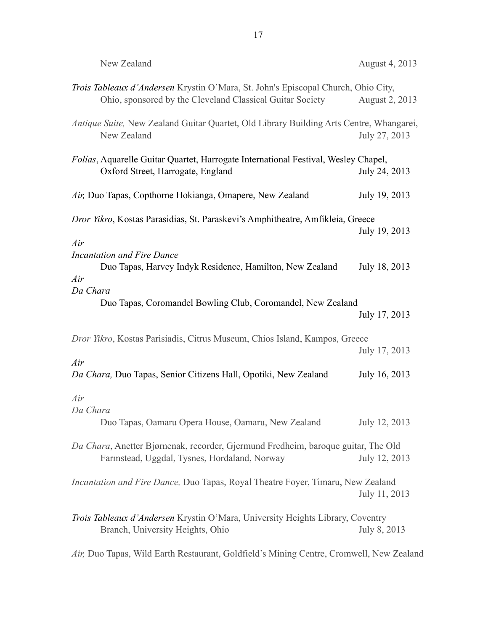| New Zealand                                                                                                                                    | August 4, 2013 |
|------------------------------------------------------------------------------------------------------------------------------------------------|----------------|
| Trois Tableaux d'Andersen Krystin O'Mara, St. John's Episcopal Church, Ohio City,<br>Ohio, sponsored by the Cleveland Classical Guitar Society | August 2, 2013 |
| Antique Suite, New Zealand Guitar Quartet, Old Library Building Arts Centre, Whangarei,<br>New Zealand                                         | July 27, 2013  |
| Folías, Aquarelle Guitar Quartet, Harrogate International Festival, Wesley Chapel,<br>Oxford Street, Harrogate, England                        | July 24, 2013  |
| Air, Duo Tapas, Copthorne Hokianga, Omapere, New Zealand                                                                                       | July 19, 2013  |
| Dror Yikro, Kostas Parasidias, St. Paraskevi's Amphitheatre, Amfikleia, Greece                                                                 | July 19, 2013  |
| Air<br>Incantation and Fire Dance<br>Duo Tapas, Harvey Indyk Residence, Hamilton, New Zealand<br>Air<br>Da Chara                               | July 18, 2013  |
| Duo Tapas, Coromandel Bowling Club, Coromandel, New Zealand                                                                                    | July 17, 2013  |
| Dror Yikro, Kostas Parisiadis, Citrus Museum, Chios Island, Kampos, Greece                                                                     | July 17, 2013  |
| Air<br>Da Chara, Duo Tapas, Senior Citizens Hall, Opotiki, New Zealand                                                                         | July 16, 2013  |
| Air<br>Da Chara<br>Duo Tapas, Oamaru Opera House, Oamaru, New Zealand                                                                          | July 12, 2013  |
| Da Chara, Anetter Bjørnenak, recorder, Gjermund Fredheim, baroque guitar, The Old<br>Farmstead, Uggdal, Tysnes, Hordaland, Norway              | July 12, 2013  |
| <i>Incantation and Fire Dance, Duo Tapas, Royal Theatre Foyer, Timaru, New Zealand</i>                                                         | July 11, 2013  |
| <i>Trois Tableaux d'Andersen</i> Krystin O'Mara, University Heights Library, Coventry<br>Branch, University Heights, Ohio                      | July 8, 2013   |
| Air, Duo Tapas, Wild Earth Restaurant, Goldfield's Mining Centre, Cromwell, New Zealand                                                        |                |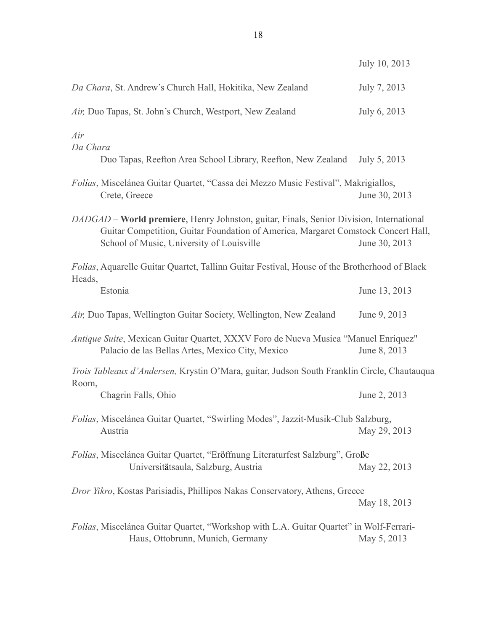|                                                                                                                                                                                                                           | July 10, 2013 |
|---------------------------------------------------------------------------------------------------------------------------------------------------------------------------------------------------------------------------|---------------|
| Da Chara, St. Andrew's Church Hall, Hokitika, New Zealand                                                                                                                                                                 | July 7, 2013  |
| Air, Duo Tapas, St. John's Church, Westport, New Zealand                                                                                                                                                                  | July 6, 2013  |
| Air<br>Da Chara<br>Duo Tapas, Reefton Area School Library, Reefton, New Zealand                                                                                                                                           | July 5, 2013  |
| Folías, Miscelánea Guitar Quartet, "Cassa dei Mezzo Music Festival", Makrigiallos,<br>Crete, Greece                                                                                                                       | June 30, 2013 |
| DADGAD – World premiere, Henry Johnston, guitar, Finals, Senior Division, International<br>Guitar Competition, Guitar Foundation of America, Margaret Comstock Concert Hall,<br>School of Music, University of Louisville | June 30, 2013 |
| Folías, Aquarelle Guitar Quartet, Tallinn Guitar Festival, House of the Brotherhood of Black                                                                                                                              |               |
| Heads,<br>Estonia                                                                                                                                                                                                         | June 13, 2013 |
| Air, Duo Tapas, Wellington Guitar Society, Wellington, New Zealand                                                                                                                                                        | June 9, 2013  |
| Antique Suite, Mexican Guitar Quartet, XXXV Foro de Nueva Musica "Manuel Enriquez"<br>Palacio de las Bellas Artes, Mexico City, Mexico                                                                                    | June 8, 2013  |
| Trois Tableaux d'Andersen, Krystin O'Mara, guitar, Judson South Franklin Circle, Chautauqua                                                                                                                               |               |
| Room,<br>Chagrin Falls, Ohio                                                                                                                                                                                              | June 2, 2013  |
| Folías, Miscelánea Guitar Quartet, "Swirling Modes", Jazzit-Musik-Club Salzburg,<br>Austria                                                                                                                               | May 29, 2013  |
| Folías, Miscelánea Guitar Quartet, "Eröffnung Literaturfest Salzburg", Große<br>Universitätsaula, Salzburg, Austria                                                                                                       | May 22, 2013  |
| Dror Yikro, Kostas Parisiadis, Phillipos Nakas Conservatory, Athens, Greece                                                                                                                                               | May 18, 2013  |
| Folias, Miscelánea Guitar Quartet, "Workshop with L.A. Guitar Quartet" in Wolf-Ferrari-<br>Haus, Ottobrunn, Munich, Germany                                                                                               | May 5, 2013   |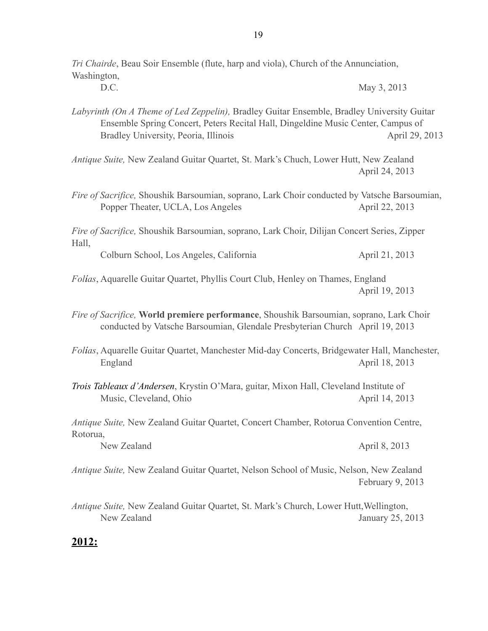| Tri Chairde, Beau Soir Ensemble (flute, harp and viola), Church of the Annunciation,<br>Washington,                                                                                                                    |                  |
|------------------------------------------------------------------------------------------------------------------------------------------------------------------------------------------------------------------------|------------------|
| D.C.                                                                                                                                                                                                                   | May 3, 2013      |
| Labyrinth (On A Theme of Led Zeppelin), Bradley Guitar Ensemble, Bradley University Guitar<br>Ensemble Spring Concert, Peters Recital Hall, Dingeldine Music Center, Campus of<br>Bradley University, Peoria, Illinois | April 29, 2013   |
| Antique Suite, New Zealand Guitar Quartet, St. Mark's Chuch, Lower Hutt, New Zealand                                                                                                                                   | April 24, 2013   |
| Fire of Sacrifice, Shoushik Barsoumian, soprano, Lark Choir conducted by Vatsche Barsoumian,<br>Popper Theater, UCLA, Los Angeles                                                                                      | April 22, 2013   |
| Fire of Sacrifice, Shoushik Barsoumian, soprano, Lark Choir, Dilijan Concert Series, Zipper<br>Hall,                                                                                                                   |                  |
| Colburn School, Los Angeles, California                                                                                                                                                                                | April 21, 2013   |
| Folias, Aquarelle Guitar Quartet, Phyllis Court Club, Henley on Thames, England                                                                                                                                        | April 19, 2013   |
| Fire of Sacrifice, World premiere performance, Shoushik Barsoumian, soprano, Lark Choir<br>conducted by Vatsche Barsoumian, Glendale Presbyterian Church April 19, 2013                                                |                  |
| Folias, Aquarelle Guitar Quartet, Manchester Mid-day Concerts, Bridgewater Hall, Manchester,<br>England                                                                                                                | April 18, 2013   |
| Trois Tableaux d'Andersen, Krystin O'Mara, guitar, Mixon Hall, Cleveland Institute of<br>Music, Cleveland, Ohio                                                                                                        | April 14, 2013   |
| Antique Suite, New Zealand Guitar Quartet, Concert Chamber, Rotorua Convention Centre,<br>Rotorua,                                                                                                                     |                  |
| New Zealand                                                                                                                                                                                                            | April 8, 2013    |
| Antique Suite, New Zealand Guitar Quartet, Nelson School of Music, Nelson, New Zealand                                                                                                                                 | February 9, 2013 |
| Antique Suite, New Zealand Guitar Quartet, St. Mark's Church, Lower Hutt, Wellington,<br>New Zealand                                                                                                                   | January 25, 2013 |
| <u> 2012:</u>                                                                                                                                                                                                          |                  |

# 19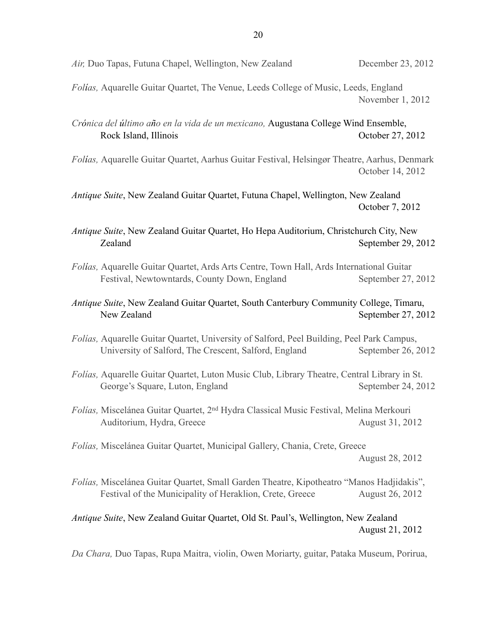*Folías,* Aquarelle Guitar Quartet, The Venue, Leeds College of Music, Leeds, England November 1, 2012

*Crónica del último año en la vida de un mexicano,* Augustana College Wind Ensemble, Rock Island, Illinois October 27, 2012

*Folías,* Aquarelle Guitar Quartet, Aarhus Guitar Festival, Helsingør Theatre, Aarhus, Denmark October 14, 2012

*Antique Suite*, New Zealand Guitar Quartet, Futuna Chapel, Wellington, New Zealand October 7, 2012

*Antique Suite*, New Zealand Guitar Quartet, Ho Hepa Auditorium, Christchurch City, New Zealand September 29, 2012

*Folías,* Aquarelle Guitar Quartet, Ards Arts Centre, Town Hall, Ards International Guitar Festival, Newtowntards, County Down, England September 27, 2012

#### *Antique Suite*, New Zealand Guitar Quartet, South Canterbury Community College, Timaru, New Zealand September 27, 2012

- *Folías,* Aquarelle Guitar Quartet, University of Salford, Peel Building, Peel Park Campus, University of Salford, The Crescent, Salford, England September 26, 2012
- *Folías,* Aquarelle Guitar Quartet, Luton Music Club, Library Theatre, Central Library in St. George's Square, Luton, England September 24, 2012
- *Folías,* Miscelánea Guitar Quartet, 2nd Hydra Classical Music Festival, Melina Merkouri Auditorium, Hydra, Greece August 31, 2012

*Folías,* Miscelánea Guitar Quartet, Municipal Gallery, Chania, Crete, Greece August 28, 2012

*Folías,* Miscelánea Guitar Quartet, Small Garden Theatre, Kipotheatro "Manos Hadjidakis", Festival of the Municipality of Heraklion, Crete, Greece August 26, 2012

#### *Antique Suite*, New Zealand Guitar Quartet, Old St. Paul's, Wellington, New Zealand August 21, 2012

*Da Chara,* Duo Tapas, Rupa Maitra, violin, Owen Moriarty, guitar, Pataka Museum, Porirua,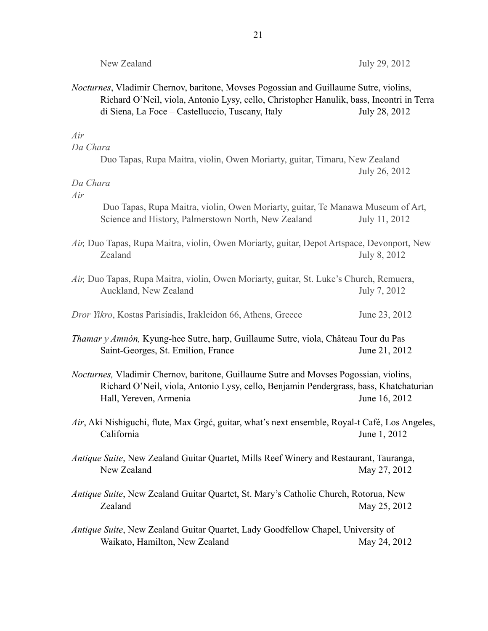| New Zealand                                                                                                                                                                                                                                   | July 29, 2012 |
|-----------------------------------------------------------------------------------------------------------------------------------------------------------------------------------------------------------------------------------------------|---------------|
| <i>Nocturnes</i> , Vladimir Chernov, baritone, Movses Pogossian and Guillaume Sutre, violins,<br>Richard O'Neil, viola, Antonio Lysy, cello, Christopher Hanulik, bass, Incontri in Terra<br>di Siena, La Foce – Castelluccio, Tuscany, Italy | July 28, 2012 |
| Air<br>Da Chara<br>Duo Tapas, Rupa Maitra, violin, Owen Moriarty, guitar, Timaru, New Zealand                                                                                                                                                 |               |
| Da Chara<br>Air                                                                                                                                                                                                                               | July 26, 2012 |
| Duo Tapas, Rupa Maitra, violin, Owen Moriarty, guitar, Te Manawa Museum of Art,<br>Science and History, Palmerstown North, New Zealand                                                                                                        | July 11, 2012 |
| Air, Duo Tapas, Rupa Maitra, violin, Owen Moriarty, guitar, Depot Artspace, Devonport, New<br>Zealand                                                                                                                                         | July 8, 2012  |
| Air, Duo Tapas, Rupa Maitra, violin, Owen Moriarty, guitar, St. Luke's Church, Remuera,<br>Auckland, New Zealand                                                                                                                              | July 7, 2012  |
| Dror Yikro, Kostas Parisiadis, Irakleidon 66, Athens, Greece                                                                                                                                                                                  | June 23, 2012 |
| <i>Thamar y Amnón</i> , Kyung-hee Sutre, harp, Guillaume Sutre, viola, Château Tour du Pas<br>Saint-Georges, St. Emilion, France                                                                                                              | June 21, 2012 |
| <i>Nocturnes</i> , Vladimir Chernov, baritone, Guillaume Sutre and Movses Pogossian, violins,<br>Richard O'Neil, viola, Antonio Lysy, cello, Benjamin Pendergrass, bass, Khatchaturian<br>Hall, Yereven, Armenia                              | June 16, 2012 |
| Air, Aki Nishiguchi, flute, Max Grgć, guitar, what's next ensemble, Royal-t Café, Los Angeles,<br>California                                                                                                                                  | June 1, 2012  |
| Antique Suite, New Zealand Guitar Quartet, Mills Reef Winery and Restaurant, Tauranga,<br>New Zealand                                                                                                                                         | May 27, 2012  |
| Antique Suite, New Zealand Guitar Quartet, St. Mary's Catholic Church, Rotorua, New<br>Zealand                                                                                                                                                | May 25, 2012  |
| Antique Suite, New Zealand Guitar Quartet, Lady Goodfellow Chapel, University of<br>Waikato, Hamilton, New Zealand                                                                                                                            | May 24, 2012  |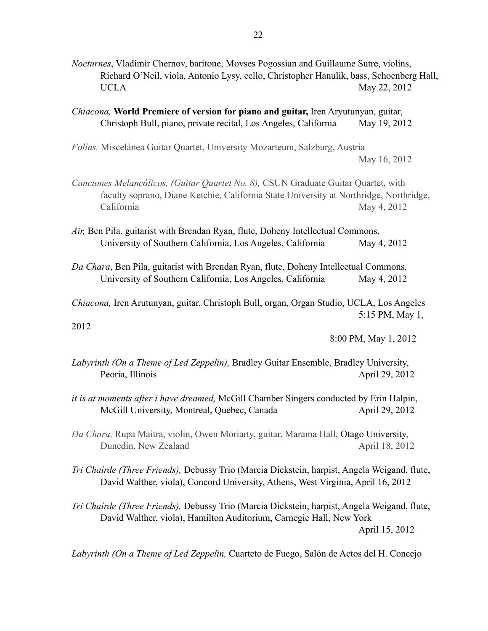- *Nocturnes*, Vladimir Chernov, baritone, Movses Pogossian and Guillaume Sutre, violins, Richard O'Neil, viola, Antonio Lysy, cello, Christopher Hanulik, bass, Schoenberg Hall, UCLA May 22, 2012
- *Chiacona,* **World Premiere of version for piano and guitar,** Iren Aryutunyan, guitar, Christoph Bull, piano, private recital, Los Angeles, California May 19, 2012

*Folías,* Miscelánea Guitar Quartet, University Mozarteum, Salzburg, Austria May 16, 2012

- *Canciones Melancólicos, (Guitar Quartet No. 8),* CSUN Graduate Guitar Quartet, with faculty soprano, Diane Ketchie, California State University at Northridge, Northridge, California May 4, 2012
- *Air,* Ben Pila, guitarist with Brendan Ryan, flute, Doheny Intellectual Commons, University of Southern California, Los Angeles, California May 4, 2012
- *Da Chara*, Ben Pila, guitarist with Brendan Ryan, flute, Doheny Intellectual Commons, University of Southern California, Los Angeles, California May 4, 2012

*Chiacona,* Iren Arutunyan, guitar, Christoph Bull, organ, Organ Studio, UCLA, Los Angeles 5:15 PM, May 1,

2012

8:00 PM, May 1, 2012

- *Labyrinth (On a Theme of Led Zeppelin),* Bradley Guitar Ensemble, Bradley University, Peoria, Illinois April 29, 2012
- *it is at moments after i have dreamed,* McGill Chamber Singers conducted by Erin Halpin, McGill University, Montreal, Quebec, Canada April 29, 2012
- *Da Chara,* Rupa Maitra, violin, Owen Moriarty, guitar, Marama Hall, Otago University, Dunedin, New Zealand April 18, 2012
- *Tri Chaírde (Three Friends),* Debussy Trio (Marcia Dickstein, harpist, Angela Weigand, flute, David Walther, viola), Concord University, Athens, West Virginia, April 16, 2012

*Tri Chaírde (Three Friends),* Debussy Trio (Marcia Dickstein, harpist, Angela Weigand, flute, David Walther, viola), Hamilton Auditorium, Carnegie Hall, New York April 15, 2012

*Labyrinth (On a Theme of Led Zeppelin,* Cuarteto de Fuego, Salón de Actos del H. Concejo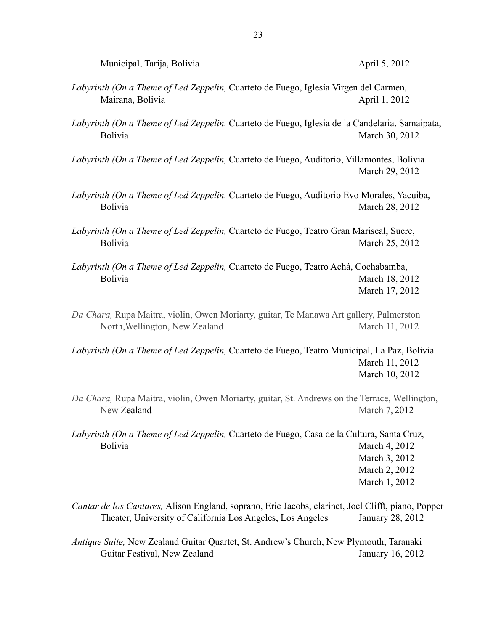| Municipal, Tarija, Bolivia |  |
|----------------------------|--|

#### April 5, 2012

- *Labyrinth (On a Theme of Led Zeppelin,* Cuarteto de Fuego, Iglesia Virgen del Carmen, Mairana, Bolivia **April 1, 2012**
- *Labyrinth (On a Theme of Led Zeppelin,* Cuarteto de Fuego, Iglesia de la Candelaria, Samaipata, Bolivia March 30, 2012
- *Labyrinth (On a Theme of Led Zeppelin,* Cuarteto de Fuego, Auditorio, Villamontes, Bolivia March 29, 2012
- *Labyrinth (On a Theme of Led Zeppelin,* Cuarteto de Fuego, Auditorio Evo Morales, Yacuiba, Bolivia March 28, 2012
- *Labyrinth (On a Theme of Led Zeppelin,* Cuarteto de Fuego, Teatro Gran Mariscal, Sucre, Bolivia March 25, 2012
- *Labyrinth (On a Theme of Led Zeppelin,* Cuarteto de Fuego, Teatro Achá, Cochabamba, Bolivia March 18, 2012 March 17, 2012
- *Da Chara,* Rupa Maitra, violin, Owen Moriarty, guitar, Te Manawa Art gallery, Palmerston North, Wellington, New Zealand March 11, 2012
- *Labyrinth (On a Theme of Led Zeppelin,* Cuarteto de Fuego, Teatro Municipal, La Paz, Bolivia March 11, 2012 March 10, 2012
- *Da Chara,* Rupa Maitra, violin, Owen Moriarty, guitar, St. Andrews on the Terrace, Wellington, New Zealand March 7, 2012
- *Labyrinth (On a Theme of Led Zeppelin,* Cuarteto de Fuego, Casa de la Cultura, Santa Cruz, Bolivia March 4, 2012 March 3, 2012 March 2, 2012 March 1, 2012
- *Cantar de los Cantares,* Alison England, soprano, Eric Jacobs, clarinet, Joel Clifft, piano, Popper Theater, University of California Los Angeles, Los Angeles January 28, 2012
- *Antique Suite,* New Zealand Guitar Quartet, St. Andrew's Church, New Plymouth, Taranaki Guitar Festival, New Zealand January 16, 2012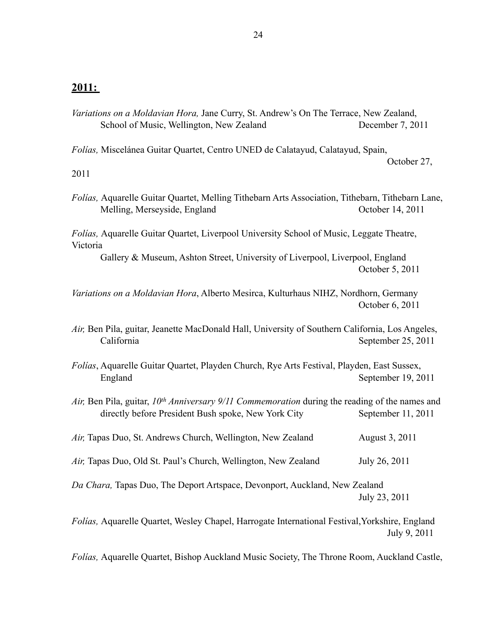#### **2011:**

*Variations on a Moldavian Hora,* Jane Curry, St. Andrew's On The Terrace, New Zealand, School of Music, Wellington, New Zealand December 7, 2011

*Folías,* Miscelánea Guitar Quartet, Centro UNED de Calatayud, Calatayud, Spain,

October 27,

2011

*Folías,* Aquarelle Guitar Quartet, Melling Tithebarn Arts Association, Tithebarn, Tithebarn Lane, Melling, Merseyside, England October 14, 2011

*Folías,* Aquarelle Guitar Quartet, Liverpool University School of Music, Leggate Theatre, Victoria

Gallery & Museum, Ashton Street, University of Liverpool, Liverpool, England October 5, 2011

*Variations on a Moldavian Hora*, Alberto Mesirca, Kulturhaus NIHZ, Nordhorn, Germany October 6, 2011

- *Air,* Ben Pila, guitar, Jeanette MacDonald Hall, University of Southern California, Los Angeles, California September 25, 2011
- *Folías*, Aquarelle Guitar Quartet, Playden Church, Rye Arts Festival, Playden, East Sussex, England September 19, 2011
- *Air,* Ben Pila, guitar, *10th Anniversary 9/11 Commemoration* during the reading of the names and directly before President Bush spoke, New York City September 11, 2011
- *Air,* Tapas Duo, St. Andrews Church, Wellington, New Zealand August 3, 2011
- *Air, Tapas Duo, Old St. Paul's Church, Wellington, New Zealand July 26, 2011*

*Da Chara,* Tapas Duo, The Deport Artspace, Devonport, Auckland, New Zealand July 23, 2011

*Folías,* Aquarelle Quartet, Wesley Chapel, Harrogate International Festival,Yorkshire, England July 9, 2011

*Folías,* Aquarelle Quartet, Bishop Auckland Music Society, The Throne Room, Auckland Castle,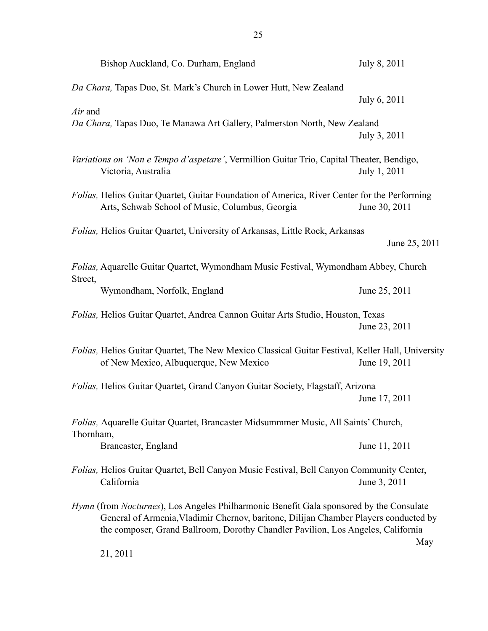|           | Bishop Auckland, Co. Durham, England                                                                                                                                                                                                                                               | July 8, 2011  |     |
|-----------|------------------------------------------------------------------------------------------------------------------------------------------------------------------------------------------------------------------------------------------------------------------------------------|---------------|-----|
|           | Da Chara, Tapas Duo, St. Mark's Church in Lower Hutt, New Zealand                                                                                                                                                                                                                  | July 6, 2011  |     |
| Air and   | Da Chara, Tapas Duo, Te Manawa Art Gallery, Palmerston North, New Zealand                                                                                                                                                                                                          | July 3, 2011  |     |
|           | Variations on 'Non e Tempo d'aspetare', Vermillion Guitar Trio, Capital Theater, Bendigo,<br>Victoria, Australia                                                                                                                                                                   | July 1, 2011  |     |
|           | Folías, Helios Guitar Quartet, Guitar Foundation of America, River Center for the Performing<br>Arts, Schwab School of Music, Columbus, Georgia                                                                                                                                    | June 30, 2011 |     |
|           | Folías, Helios Guitar Quartet, University of Arkansas, Little Rock, Arkansas                                                                                                                                                                                                       | June 25, 2011 |     |
|           | Folías, Aquarelle Guitar Quartet, Wymondham Music Festival, Wymondham Abbey, Church                                                                                                                                                                                                |               |     |
| Street,   | Wymondham, Norfolk, England                                                                                                                                                                                                                                                        | June 25, 2011 |     |
|           | Folías, Helios Guitar Quartet, Andrea Cannon Guitar Arts Studio, Houston, Texas                                                                                                                                                                                                    | June 23, 2011 |     |
|           | Folías, Helios Guitar Quartet, The New Mexico Classical Guitar Festival, Keller Hall, University<br>of New Mexico, Albuquerque, New Mexico                                                                                                                                         | June 19, 2011 |     |
|           | Folías, Helios Guitar Quartet, Grand Canyon Guitar Society, Flagstaff, Arizona                                                                                                                                                                                                     | June 17, 2011 |     |
| Thornham, | Folías, Aquarelle Guitar Quartet, Brancaster Midsummmer Music, All Saints' Church,                                                                                                                                                                                                 |               |     |
|           | Brancaster, England                                                                                                                                                                                                                                                                | June 11, 2011 |     |
|           | Folías, Helios Guitar Quartet, Bell Canyon Music Festival, Bell Canyon Community Center,<br>California                                                                                                                                                                             | June 3, 2011  |     |
|           | <i>Hymn</i> (from <i>Nocturnes</i> ), Los Angeles Philharmonic Benefit Gala sponsored by the Consulate<br>General of Armenia, Vladimir Chernov, baritone, Dilijan Chamber Players conducted by<br>the composer, Grand Ballroom, Dorothy Chandler Pavilion, Los Angeles, California |               | May |
|           | 21, 2011                                                                                                                                                                                                                                                                           |               |     |

21, 2011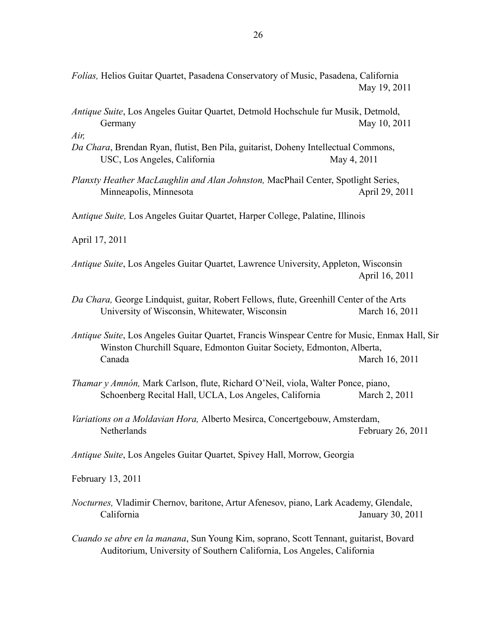*Folías,* Helios Guitar Quartet, Pasadena Conservatory of Music, Pasadena, California May 19, 2011

*Antique Suite*, Los Angeles Guitar Quartet, Detmold Hochschule fur Musik, Detmold, Germany May 10, 2011

*Air,* 

- *Da Chara*, Brendan Ryan, flutist, Ben Pila, guitarist, Doheny Intellectual Commons, USC, Los Angeles, California May 4, 2011
- *Planxty Heather MacLaughlin and Alan Johnston,* MacPhail Center, Spotlight Series, Minneapolis, Minnesota April 29, 2011

A*ntique Suite,* Los Angeles Guitar Quartet, Harper College, Palatine, Illinois

April 17, 2011

*Antique Suite*, Los Angeles Guitar Quartet, Lawrence University, Appleton, Wisconsin April 16, 2011

- *Da Chara,* George Lindquist, guitar, Robert Fellows, flute, Greenhill Center of the Arts University of Wisconsin, Whitewater, Wisconsin March 16, 2011
- *Antique Suite*, Los Angeles Guitar Quartet, Francis Winspear Centre for Music, Enmax Hall, Sir Winston Churchill Square, Edmonton Guitar Society, Edmonton, Alberta, Canada March 16, 2011
- *Thamar y Amnón,* Mark Carlson, flute, Richard O'Neil, viola, Walter Ponce, piano, Schoenberg Recital Hall, UCLA, Los Angeles, California March 2, 2011
- *Variations on a Moldavian Hora,* Alberto Mesirca, Concertgebouw, Amsterdam, Netherlands February 26, 2011

*Antique Suite*, Los Angeles Guitar Quartet, Spivey Hall, Morrow, Georgia

February 13, 2011

- *Nocturnes,* Vladimir Chernov, baritone, Artur Afenesov, piano, Lark Academy, Glendale, California January 30, 2011
- *Cuando se abre en la manana*, Sun Young Kim, soprano, Scott Tennant, guitarist, Bovard Auditorium, University of Southern California, Los Angeles, California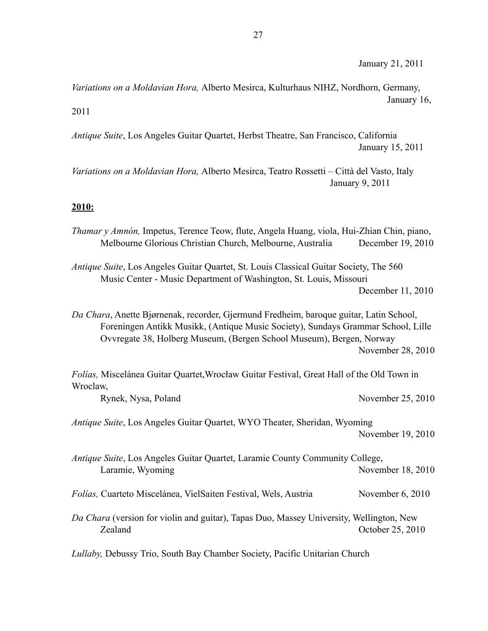*Variations on a Moldavian Hora,* Alberto Mesirca, Kulturhaus NIHZ, Nordhorn, Germany, January 16, 2011

*Antique Suite*, Los Angeles Guitar Quartet, Herbst Theatre, San Francisco, California January 15, 2011

*Variations on a Moldavian Hora,* Alberto Mesirca, Teatro Rossetti – Città del Vasto, Italy January 9, 2011

#### **2010:**

| Thamar y Amnón, Impetus, Terence Teow, flute, Angela Huang, viola, Hui-Zhian Chin, piano,<br>Melbourne Glorious Christian Church, Melbourne, Australia                                                                                             | December 19, 2010  |
|----------------------------------------------------------------------------------------------------------------------------------------------------------------------------------------------------------------------------------------------------|--------------------|
| Antique Suite, Los Angeles Guitar Quartet, St. Louis Classical Guitar Society, The 560<br>Music Center - Music Department of Washington, St. Louis, Missouri                                                                                       | December 11, 2010  |
| Da Chara, Anette Bjørnenak, recorder, Gjermund Fredheim, baroque guitar, Latin School,<br>Foreningen Antikk Musikk, (Antique Music Society), Sundays Grammar School, Lille<br>Ovvregate 38, Holberg Museum, (Bergen School Museum), Bergen, Norway | November 28, 2010  |
| Folías, Miscelánea Guitar Quartet, Wrocław Guitar Festival, Great Hall of the Old Town in<br>Wroclaw,                                                                                                                                              |                    |
| Rynek, Nysa, Poland                                                                                                                                                                                                                                | November 25, 2010  |
| Antique Suite, Los Angeles Guitar Quartet, WYO Theater, Sheridan, Wyoming                                                                                                                                                                          | November 19, 2010  |
| Antique Suite, Los Angeles Guitar Quartet, Laramie County Community College,<br>Laramie, Wyoming                                                                                                                                                   | November 18, 2010  |
| Folías, Cuarteto Miscelánea, VielSaiten Festival, Wels, Austria                                                                                                                                                                                    | November $6, 2010$ |
| Da Chara (version for violin and guitar), Tapas Duo, Massey University, Wellington, New<br>Zealand                                                                                                                                                 | October 25, 2010   |

*Lullaby,* Debussy Trio, South Bay Chamber Society, Pacific Unitarian Church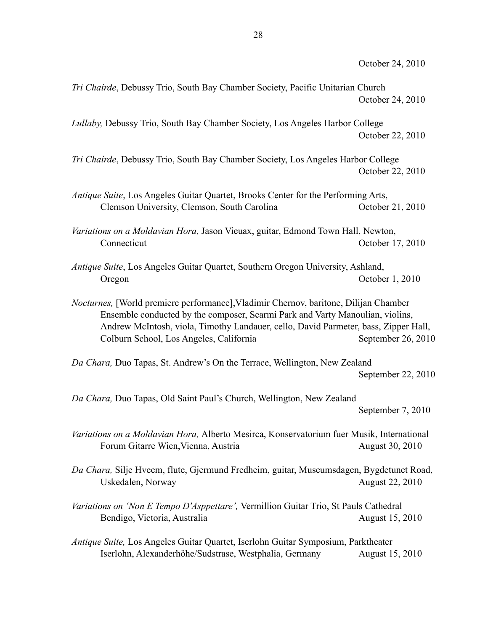*Tri Chaírde*, Debussy Trio, South Bay Chamber Society, Pacific Unitarian Church October 24, 2010

*Lullaby,* Debussy Trio, South Bay Chamber Society, Los Angeles Harbor College October 22, 2010

*Tri Chaírde*, Debussy Trio, South Bay Chamber Society, Los Angeles Harbor College October 22, 2010

*Antique Suite*, Los Angeles Guitar Quartet, Brooks Center for the Performing Arts, Clemson University, Clemson, South Carolina October 21, 2010

*Variations on a Moldavian Hora,* Jason Vieuax, guitar, Edmond Town Hall, Newton, Connecticut Connecticut Connecticut Connecticut Connecticut Connecticut Connecticut Connecticut Connecticut Connecticut Connecticut Connecticut Connecticut Connecticut Connecticut Connecticut Connecticut Connecticut Connec

*Antique Suite*, Los Angeles Guitar Quartet, Southern Oregon University, Ashland, Oregon October 1, 2010

*Nocturnes,* [World premiere performance],Vladimir Chernov, baritone, Dilijan Chamber Ensemble conducted by the composer, Searmi Park and Varty Manoulian, violins, Andrew McIntosh, viola, Timothy Landauer, cello, David Parmeter, bass, Zipper Hall, Colburn School, Los Angeles, California September 26, 2010

*Da Chara,* Duo Tapas, St. Andrew's On the Terrace, Wellington, New Zealand September 22, 2010

*Da Chara,* Duo Tapas, Old Saint Paul's Church, Wellington, New Zealand September 7, 2010

*Variations on a Moldavian Hora,* Alberto Mesirca, Konservatorium fuer Musik, International Forum Gitarre Wien, Vienna, Austria **August 30, 2010** 

*Da Chara,* Silje Hveem, flute, Gjermund Fredheim, guitar, Museumsdagen, Bygdetunet Road, Uskedalen, Norway August 22, 2010

*Variations on 'Non E Tempo D'Asppettare',* Vermillion Guitar Trio, St Pauls Cathedral Bendigo, Victoria, Australia and August 15, 2010

*Antique Suite,* Los Angeles Guitar Quartet, Iserlohn Guitar Symposium, Parktheater Iserlohn, Alexanderhöhe/Sudstrase, Westphalia, Germany August 15, 2010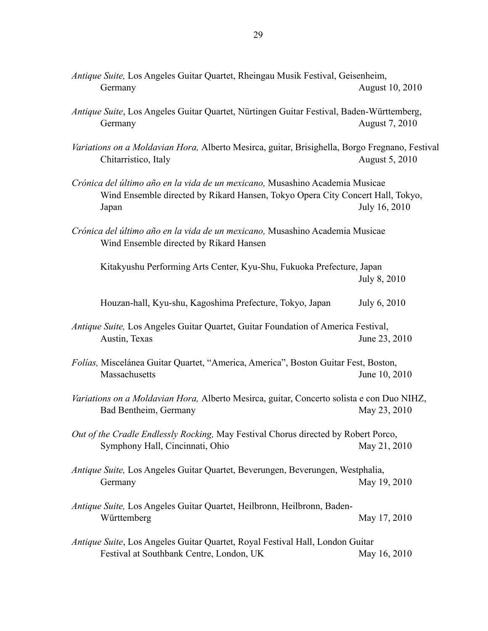- *Antique Suite,* Los Angeles Guitar Quartet, Rheingau Musik Festival, Geisenheim, Germany August 10, 2010
- *Antique Suite*, Los Angeles Guitar Quartet, Nürtingen Guitar Festival, Baden-Württemberg, Germany August 7, 2010
- *Variations on a Moldavian Hora,* Alberto Mesirca, guitar, Brisighella, Borgo Fregnano, Festival Chitarristico, Italy August 5, 2010
- *Crónica del último año en la vida de un mexicano,* Musashino Academia Musicae Wind Ensemble directed by Rikard Hansen, Tokyo Opera City Concert Hall, Tokyo, Japan July 16, 2010
- *Crónica del último año en la vida de un mexicano,* Musashino Academia Musicae Wind Ensemble directed by Rikard Hansen

Kitakyushu Performing Arts Center, Kyu-Shu, Fukuoka Prefecture, Japan July 8, 2010

Houzan-hall, Kyu-shu, Kagoshima Prefecture, Tokyo, Japan July 6, 2010

- *Antique Suite,* Los Angeles Guitar Quartet, Guitar Foundation of America Festival, Austin, Texas June 23, 2010
- *Folías,* Miscelánea Guitar Quartet, "America, America", Boston Guitar Fest, Boston, Massachusetts June 10, 2010
- *Variations on a Moldavian Hora,* Alberto Mesirca, guitar, Concerto solista e con Duo NIHZ, Bad Bentheim, Germany May 23, 2010
- *Out of the Cradle Endlessly Rocking,* May Festival Chorus directed by Robert Porco, Symphony Hall, Cincinnati, Ohio May 21, 2010
- *Antique Suite,* Los Angeles Guitar Quartet, Beverungen, Beverungen, Westphalia, Germany May 19, 2010
- *Antique Suite,* Los Angeles Guitar Quartet, Heilbronn, Heilbronn, Baden-Württemberg May 17, 2010
- *Antique Suite*, Los Angeles Guitar Quartet, Royal Festival Hall, London Guitar Festival at Southbank Centre, London, UK May 16, 2010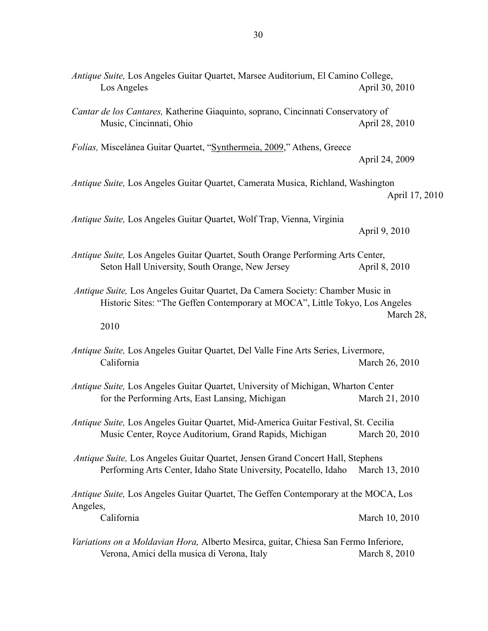*Antique Suite,* Los Angeles Guitar Quartet, Marsee Auditorium, El Camino College, Los Angeles April 30, 2010 *Cantar de los Cantares,* Katherine Giaquinto, soprano, Cincinnati Conservatory of Music, Cincinnati, Ohio April 28, 2010 *Folías,* Miscelánea Guitar Quartet, ["Synthermeia, 2009,](http://www.thermi.gr/Page1398.html)" Athens, Greece April 24, 2009 *Antique Suite,* Los Angeles Guitar Quartet, Camerata Musica, Richland, Washington April 17, 2010 *Antique Suite,* Los Angeles Guitar Quartet, Wolf Trap, Vienna, Virginia April 9, 2010 *Antique Suite,* Los Angeles Guitar Quartet, South Orange Performing Arts Center, Seton Hall University, South Orange, New Jersey April 8, 2010 *Antique Suite,* Los Angeles Guitar Quartet, Da Camera Society: Chamber Music in Historic Sites: "The Geffen Contemporary at MOCA", Little Tokyo, Los Angeles March 28, 2010 *Antique Suite,* Los Angeles Guitar Quartet, Del Valle Fine Arts Series, Livermore, California March 26, 2010 *Antique Suite,* Los Angeles Guitar Quartet, University of Michigan, Wharton Center for the Performing Arts, East Lansing, Michigan March 21, 2010 *Antique Suite,* Los Angeles Guitar Quartet, Mid-America Guitar Festival, St. Cecilia Music Center, Royce Auditorium, Grand Rapids, Michigan March 20, 2010  *Antique Suite,* Los Angeles Guitar Quartet, Jensen Grand Concert Hall, Stephens Performing Arts Center, Idaho State University, Pocatello, Idaho March 13, 2010 *Antique Suite,* Los Angeles Guitar Quartet, The Geffen Contemporary at the MOCA, Los Angeles, California March 10, 2010

*Variations on a Moldavian Hora,* Alberto Mesirca, guitar, Chiesa San Fermo Inferiore, Verona, Amici della musica di Verona, Italy March 8, 2010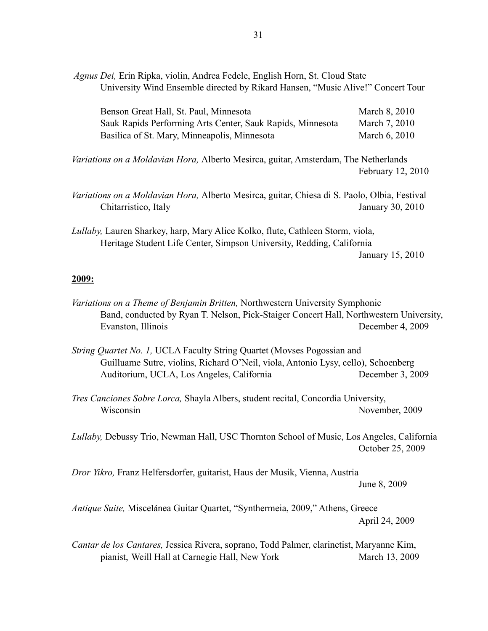| Agnus Dei, Erin Ripka, violin, Andrea Fedele, English Horn, St. Cloud State<br>University Wind Ensemble directed by Rikard Hansen, "Music Alive!" Concert Tour |                   |
|----------------------------------------------------------------------------------------------------------------------------------------------------------------|-------------------|
| Benson Great Hall, St. Paul, Minnesota                                                                                                                         | March 8, 2010     |
| Sauk Rapids Performing Arts Center, Sauk Rapids, Minnesota                                                                                                     | March 7, 2010     |
| Basilica of St. Mary, Minneapolis, Minnesota                                                                                                                   | March 6, 2010     |
| <i>Variations on a Moldavian Hora</i> , Alberto Mesirca, guitar, Amsterdam, The Netherlands                                                                    | February 12, 2010 |
| Variations on a Moldavian Hora, Alberto Mesirca, guitar, Chiesa di S. Paolo, Olbia, Festival<br>Chitarristico, Italy                                           | January 30, 2010  |
| Lullaby, Lauren Sharkey, harp, Mary Alice Kolko, flute, Cathleen Storm, viola,                                                                                 |                   |
| Heritage Student Life Center, Simpson University, Redding, California                                                                                          |                   |
|                                                                                                                                                                | January 15, 2010  |

#### **2009:**

- *Variations on a Theme of Benjamin Britten,* Northwestern University Symphonic Band, conducted by Ryan T. Nelson, Pick-Staiger Concert Hall, Northwestern University, Evanston, Illinois December 4, 2009
- *String Quartet No. 1,* UCLA Faculty String Quartet (Movses Pogossian and Guilluame Sutre, violins, Richard O'Neil, viola, Antonio Lysy, cello), Schoenberg Auditorium, UCLA, Los Angeles, California December 3, 2009
- *Tres Canciones Sobre Lorca,* Shayla Albers, student recital, Concordia University, Wisconsin November, 2009

*Lullaby,* Debussy Trio, Newman Hall, USC Thornton School of Music, Los Angeles, California October 25, 2009

*Dror Yikro,* Franz Helfersdorfer, guitarist, Haus der Musik, Vienna, Austria June 8, 2009

*Antique Suite,* Miscelánea Guitar Quartet, "[Synthermeia, 2009](http://www.thermi.gr/Page1398.html)," Athens, Greece April 24, 2009

*Cantar de los Cantares,* Jessica Rivera, soprano, Todd Palmer, clarinetist, Maryanne Kim, pianist, Weill Hall at Carnegie Hall, New York March 13, 2009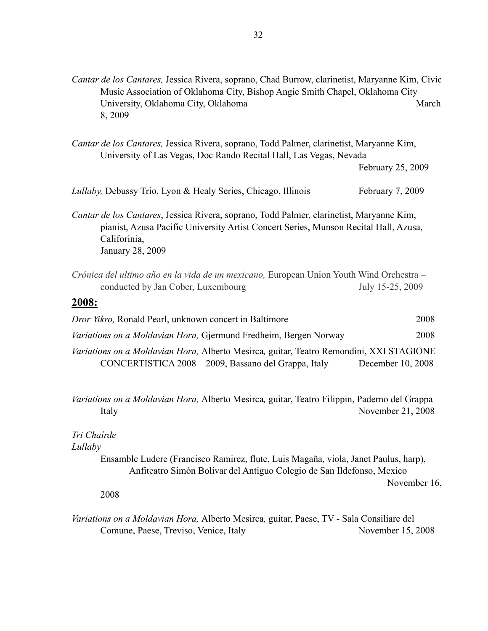| Cantar de los Cantares, Jessica Rivera, soprano, Chad Burrow, clarinetist, Maryanne Kim, Civic |       |
|------------------------------------------------------------------------------------------------|-------|
| Music Association of Oklahoma City, Bishop Angie Smith Chapel, Oklahoma City                   |       |
| University, Oklahoma City, Oklahoma                                                            | March |
| 8.2009                                                                                         |       |

| Cantar de los Cantares, Jessica Rivera, soprano, Todd Palmer, clarinetist, Maryanne Kim, |
|------------------------------------------------------------------------------------------|
| University of Las Vegas, Doc Rando Recital Hall, Las Vegas, Nevada                       |
| $\Gamma$ 1 $\Delta$ $\Gamma$ $\Delta$ $\Delta$ $\Delta$                                  |

February 25, 2009

| <i>Lullaby</i> , Debussy Trio, Lyon & Healy Series, Chicago, Illinois                                                                                                            | February 7, 2009 |
|----------------------------------------------------------------------------------------------------------------------------------------------------------------------------------|------------------|
| Cantar de los Cantares, Jessica Rivera, soprano, Todd Palmer, clarinetist, Maryanne Kim,<br>pianist, Azusa Pacific University Artist Concert Series, Munson Recital Hall, Azusa, |                  |
| Califorinia,                                                                                                                                                                     |                  |

January 28, 2009

*Crónica del ultimo año en la vida de un mexicano,* European Union Youth Wind Orchestra – conducted by Jan Cober, Luxembourg July 15-25, 2009

### **2008:**

| Dror Yikro, Ronald Pearl, unknown concert in Baltimore                                  | 2008 |
|-----------------------------------------------------------------------------------------|------|
| <i>Variations on a Moldavian Hora, Gjermund Fredheim, Bergen Norway</i>                 | 2008 |
| Variations on a Moldavian Hora, Alberto Mesirca, guitar, Teatro Remondini, XXI STAGIONE |      |
| CONCERTISTICA 2008 – 2009, Bassano del Grappa, Italy<br>December $10, 2008$             |      |

*Variations on a Moldavian Hora,* Alberto Mesirca*,* guitar, Teatro Filippin, Paderno del Grappa Italy November 21, 2008

#### *Tri Chaírde*

*Lullaby*

Ensamble Ludere (Francisco Ramirez, flute, Luis Magaña, viola, Janet Paulus, harp), Anfiteatro Simón Bolívar del Antiguo Colegio de San Ildefonso, Mexico

November 16,

2008

*Variations on a Moldavian Hora,* Alberto Mesirca*,* guitar, Paese, TV - Sala Consiliare del Comune, Paese, Treviso, Venice, Italy November 15, 2008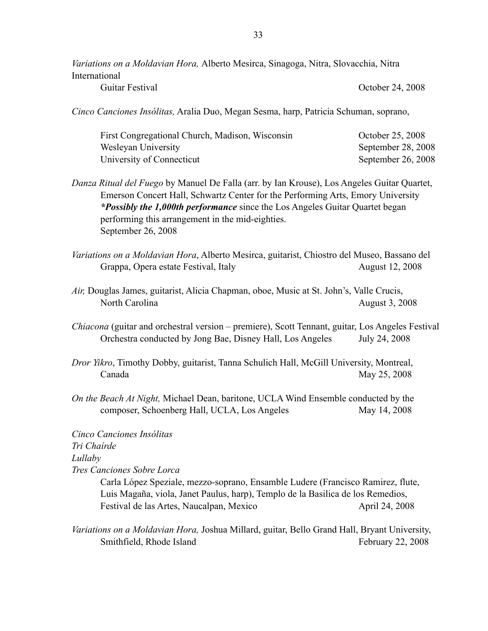*Variations on a Moldavian Hora,* Alberto Mesirca, Sinagoga, Nitra, Slovacchia, Nitra International

Guitar Festival Corober 24, 2008

*Cinco Canciones Insólitas,* Aralia Duo, Megan Sesma, harp, Patricia Schuman, soprano,

| First Congregational Church, Madison, Wisconsin | October 25, 2008   |
|-------------------------------------------------|--------------------|
| Wesleyan University                             | September 28, 2008 |
| University of Connecticut                       | September 26, 2008 |

*Danza Ritual del Fuego* by Manuel De Falla (arr. by Ian Krouse), Los Angeles Guitar Quartet, Emerson Concert Hall, Schwartz Center for the Performing Arts, Emory University *\*Possibly the 1,000th performance* since the Los Angeles Guitar Quartet began performing this arrangement in the mid-eighties. September 26, 2008

- *Variations on a Moldavian Hora*, Alberto Mesirca, guitarist, Chiostro del Museo, Bassano del Grappa, Opera estate Festival, Italy August 12, 2008
- *Air,* Douglas James, guitarist, Alicia Chapman, oboe, Music at St. John's, Valle Crucis, North Carolina August 3, 2008
- *Chiacona* (guitar and orchestral version premiere), Scott Tennant, guitar, Los Angeles Festival Orchestra conducted by Jong Bae, Disney Hall, Los Angeles July 24, 2008
- *Dror Yikro*, Timothy Dobby, guitarist, Tanna Schulich Hall, McGill University, Montreal, Canada May 25, 2008
- *On the Beach At Night,* Michael Dean, baritone, UCLA Wind Ensemble conducted by the composer, Schoenberg Hall, UCLA, Los Angeles May 14, 2008

*Cinco Canciones Insólitas Tri Chaírde Lullaby Tres Canciones Sobre Lorca*

Carla López Speziale, mezzo-soprano, Ensamble Ludere (Francisco Ramirez, flute, Luis Magaña, viola, Janet Paulus, harp), Templo de la Basilica de los Remedios, Festival de las Artes, Naucalpan, Mexico April 24, 2008

*Variations on a Moldavian Hora,* Joshua Millard, guitar, Bello Grand Hall, Bryant University, Smithfield, Rhode Island February 22, 2008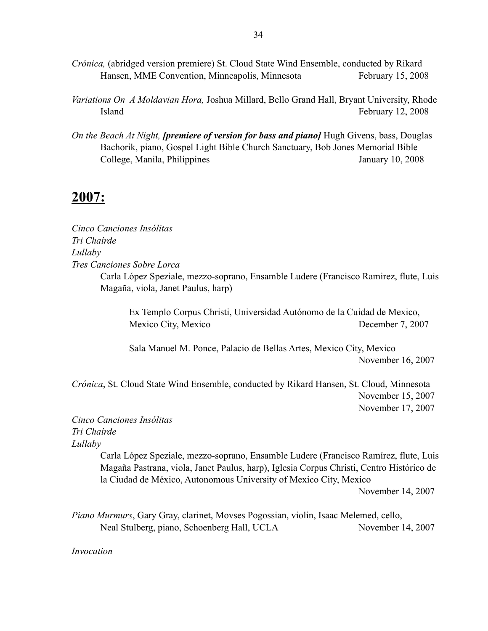- *Crónica,* (abridged version premiere) St. Cloud State Wind Ensemble, conducted by Rikard Hansen, MME Convention, Minneapolis, Minnesota February 15, 2008
- *Variations On A Moldavian Hora,* Joshua Millard, Bello Grand Hall, Bryant University, Rhode Island February 12, 2008
- *On the Beach At Night, [premiere of version for bass and piano]* Hugh Givens, bass, Douglas Bachorik, piano, Gospel Light Bible Church Sanctuary, Bob Jones Memorial Bible College, Manila, Philippines January 10, 2008

# **2007:**

*Cinco Canciones Insólitas Tri Chaírde Lullaby Tres Canciones Sobre Lorca* Carla López Speziale, mezzo-soprano, Ensamble Ludere (Francisco Ramirez, flute, Luis Magaña, viola, Janet Paulus, harp)

Ex Templo Corpus Christi, Universidad Autónomo de la Cuidad de Mexico, Mexico City, Mexico December 7, 2007

Sala Manuel M. Ponce, Palacio de Bellas Artes, Mexico City, Mexico November 16, 2007

*Crónica*, St. Cloud State Wind Ensemble, conducted by Rikard Hansen, St. Cloud, Minnesota November 15, 2007 November 17, 2007

*Cinco Canciones Insólitas Tri Chaírde Lullaby*

> Carla López Speziale, mezzo-soprano, Ensamble Ludere (Francisco Ramírez, flute, Luis Magaña Pastrana, viola, Janet Paulus, harp), Iglesia Corpus Christi, Centro Histórico de la Ciudad de México, Autonomous University of Mexico City, Mexico

> > November 14, 2007

*Piano Murmurs*, Gary Gray, clarinet, Movses Pogossian, violin, Isaac Melemed, cello, Neal Stulberg, piano, Schoenberg Hall, UCLA November 14, 2007

*Invocation*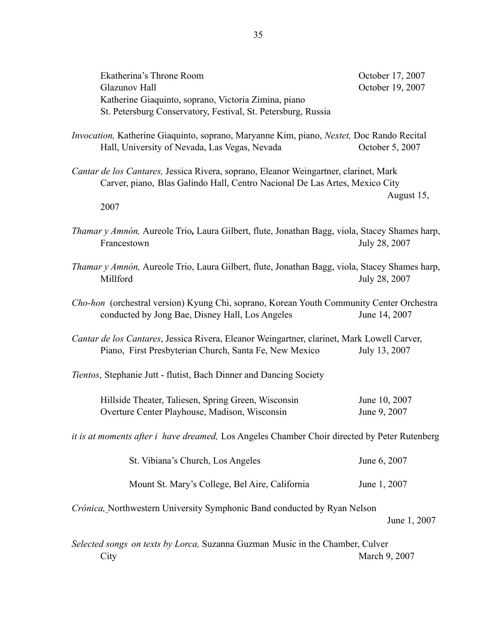| Ekatherina's Throne Room<br><b>Glazunov Hall</b>                                                                                                                    | October 17, 2007<br>October 19, 2007 |  |
|---------------------------------------------------------------------------------------------------------------------------------------------------------------------|--------------------------------------|--|
| Katherine Giaquinto, soprano, Victoria Zimina, piano<br>St. Petersburg Conservatory, Festival, St. Petersburg, Russia                                               |                                      |  |
| Invocation, Katherine Giaquinto, soprano, Maryanne Kim, piano, Nextet, Doc Rando Recital<br>Hall, University of Nevada, Las Vegas, Nevada                           | October 5, 2007                      |  |
| Cantar de los Cantares, Jessica Rivera, soprano, Eleanor Weingartner, clarinet, Mark<br>Carver, piano, Blas Galindo Hall, Centro Nacional De Las Artes, Mexico City |                                      |  |
| 2007                                                                                                                                                                | August 15,                           |  |
| Thamar y Amnón, Aureole Trio, Laura Gilbert, flute, Jonathan Bagg, viola, Stacey Shames harp,<br>Francestown                                                        | July 28, 2007                        |  |
| Thamar y Amnón, Aureole Trio, Laura Gilbert, flute, Jonathan Bagg, viola, Stacey Shames harp,<br>Millford                                                           | July 28, 2007                        |  |
| Cho-hon (orchestral version) Kyung Chi, soprano, Korean Youth Community Center Orchestra<br>conducted by Jong Bae, Disney Hall, Los Angeles                         | June 14, 2007                        |  |
| Cantar de los Cantares, Jessica Rivera, Eleanor Weingartner, clarinet, Mark Lowell Carver,<br>Piano, First Presbyterian Church, Santa Fe, New Mexico                | July 13, 2007                        |  |
| Tientos, Stephanie Jutt - flutist, Bach Dinner and Dancing Society                                                                                                  |                                      |  |
| Hillside Theater, Taliesen, Spring Green, Wisconsin<br>Overture Center Playhouse, Madison, Wisconsin                                                                | June 10, 2007<br>June 9, 2007        |  |
| it is at moments after <i>i</i> have dreamed, Los Angeles Chamber Choir directed by Peter Rutenberg                                                                 |                                      |  |
| St. Vibiana's Church, Los Angeles                                                                                                                                   | June 6, 2007                         |  |
| Mount St. Mary's College, Bel Aire, California                                                                                                                      | June 1, 2007                         |  |
| Crónica, Northwestern University Symphonic Band conducted by Ryan Nelson                                                                                            | June 1, 2007                         |  |
| Selected songs on texts by Lorca, Suzanna Guzman Music in the Chamber, Culver                                                                                       |                                      |  |

City March 9, 2007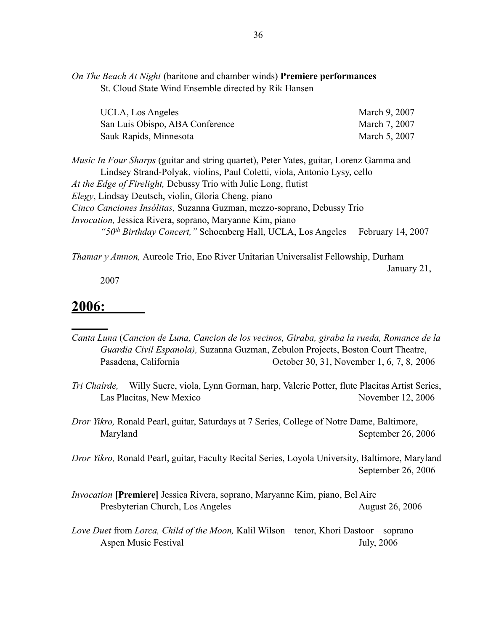*On The Beach At Night* (baritone and chamber winds) **Premiere performances** St. Cloud State Wind Ensemble directed by Rik Hansen

| UCLA, Los Angeles               | March 9, 2007 |
|---------------------------------|---------------|
| San Luis Obispo, ABA Conference | March 7, 2007 |
| Sauk Rapids, Minnesota          | March 5, 2007 |

*Music In Four Sharps* (guitar and string quartet), Peter Yates, guitar, Lorenz Gamma and Lindsey Strand-Polyak, violins, Paul Coletti, viola, Antonio Lysy, cello *At the Edge of Firelight,* Debussy Trio with Julie Long, flutist *Elegy*, Lindsay Deutsch, violin, Gloria Cheng, piano *Cinco Canciones Insólitas,* Suzanna Guzman, mezzo-soprano, Debussy Trio *Invocation,* Jessica Rivera, soprano, Maryanne Kim, piano *"50<sup>th</sup> Birthday Concert,"* Schoenberg Hall, UCLA, Los Angeles February 14, 2007

*Thamar y Amnon,* Aureole Trio, Eno River Unitarian Universalist Fellowship, Durham

January 21,

2007

## **2006:**

- *Canta Luna* (*Cancion de Luna, Cancion de los vecinos, Giraba, giraba la rueda, Romance de la Guardia Civil Espanola),* Suzanna Guzman, Zebulon Projects, Boston Court Theatre, Pasadena, California October 30, 31, November 1, 6, 7, 8, 2006
- *Tri Chaírde,* Willy Sucre, viola, Lynn Gorman, harp, Valerie Potter, flute Placitas Artist Series, Las Placitas, New Mexico November 12, 2006
- *Dror Yikro,* Ronald Pearl, guitar, Saturdays at 7 Series, College of Notre Dame, Baltimore, Maryland September 26, 2006

*Dror Yikro,* Ronald Pearl, guitar, Faculty Recital Series, Loyola University, Baltimore, Maryland September 26, 2006

- *Invocation* **[Premiere]** Jessica Rivera, soprano, Maryanne Kim, piano, Bel Aire Presbyterian Church, Los Angeles August 26, 2006
- *Love Duet* from *Lorca, Child of the Moon,* Kalil Wilson tenor, Khori Dastoor soprano Aspen Music Festival July, 2006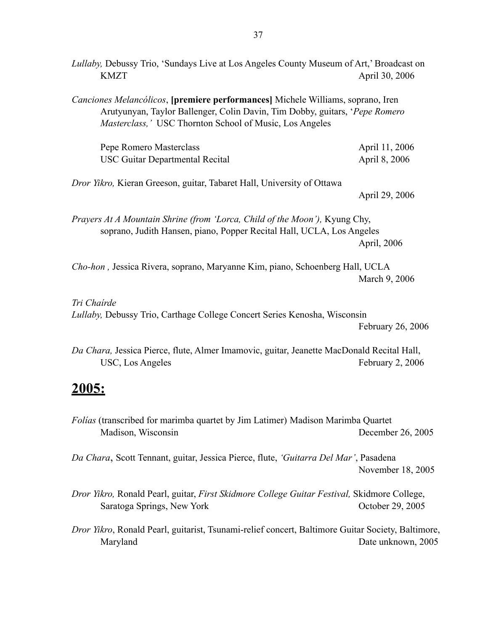*Lullaby,* Debussy Trio, 'Sundays Live at Los Angeles County Museum of Art,' Broadcast on KMZT April 30, 2006 *Canciones Melancólicos*, **[premiere performances]** Michele Williams, soprano, Iren Arutyunyan, Taylor Ballenger, Colin Davin, Tim Dobby, guitars, '*Pepe Romero Masterclass,'* USC Thornton School of Music, Los Angeles Pepe Romero Masterclass April 11, 2006 USC Guitar Departmental Recital April 8, 2006 *Dror Yikro,* Kieran Greeson, guitar, Tabaret Hall, University of Ottawa April 29, 2006 *Prayers At A Mountain Shrine (from 'Lorca, Child of the Moon'),* Kyung Chy, soprano, Judith Hansen, piano, Popper Recital Hall, UCLA, Los Angeles April, 2006 *Cho-hon ,* Jessica Rivera, soprano, Maryanne Kim, piano, Schoenberg Hall, UCLA March 9, 2006 *Tri Chaírde Lullaby,* Debussy Trio, Carthage College Concert Series Kenosha, Wisconsin February 26, 2006 *Da Chara,* Jessica Pierce, flute, Almer Imamovic, guitar, Jeanette MacDonald Recital Hall, USC, Los Angeles February 2, 2006 **2005:** *Folías* (transcribed for marimba quartet by Jim Latimer) Madison Marimba Quartet Madison, Wisconsin December 26, 2005 *Da Chara*, Scott Tennant, guitar, Jessica Pierce, flute, *'Guitarra Del Mar'*, Pasadena November 18, 2005 *Dror Yikro,* Ronald Pearl, guitar, *First Skidmore College Guitar Festival,* Skidmore College, Saratoga Springs, New York Corollary and Corollary 2005 *Dror Yikro*, Ronald Pearl, guitarist, Tsunami-relief concert, Baltimore Guitar Society, Baltimore,

Maryland Date unknown, 2005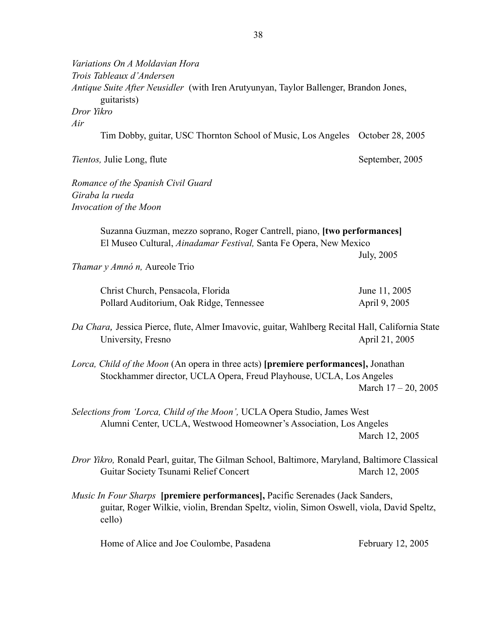| Variations On A Moldavian Hora<br>Trois Tableaux d'Andersen<br>Antique Suite After Neusidler (with Iren Arutyunyan, Taylor Ballenger, Brandon Jones,                                        |                        |
|---------------------------------------------------------------------------------------------------------------------------------------------------------------------------------------------|------------------------|
| guitarists)<br>Dror Yikro                                                                                                                                                                   |                        |
| Air                                                                                                                                                                                         |                        |
| Tim Dobby, guitar, USC Thornton School of Music, Los Angeles October 28, 2005                                                                                                               |                        |
| Tientos, Julie Long, flute                                                                                                                                                                  | September, 2005        |
| Romance of the Spanish Civil Guard                                                                                                                                                          |                        |
| Giraba la rueda                                                                                                                                                                             |                        |
| Invocation of the Moon                                                                                                                                                                      |                        |
| Suzanna Guzman, mezzo soprano, Roger Cantrell, piano, [two performances]<br>El Museo Cultural, Ainadamar Festival, Santa Fe Opera, New Mexico                                               |                        |
|                                                                                                                                                                                             | <b>July</b> , 2005     |
| <i>Thamar y Amnó n</i> , Aureole Trio                                                                                                                                                       |                        |
| Christ Church, Pensacola, Florida                                                                                                                                                           | June 11, 2005          |
| Pollard Auditorium, Oak Ridge, Tennessee                                                                                                                                                    | April 9, 2005          |
|                                                                                                                                                                                             |                        |
| Da Chara, Jessica Pierce, flute, Almer Imavovic, guitar, Wahlberg Recital Hall, California State<br>University, Fresno                                                                      | April 21, 2005         |
| Lorca, Child of the Moon (An opera in three acts) [premiere performances], Jonathan<br>Stockhammer director, UCLA Opera, Freud Playhouse, UCLA, Los Angeles                                 | March $17 - 20$ , 2005 |
| Selections from 'Lorca, Child of the Moon', UCLA Opera Studio, James West<br>Alumni Center, UCLA, Westwood Homeowner's Association, Los Angeles                                             | March 12, 2005         |
| Dror Yikro, Ronald Pearl, guitar, The Gilman School, Baltimore, Maryland, Baltimore Classical<br>Guitar Society Tsunami Relief Concert                                                      | March 12, 2005         |
| <i>Music In Four Sharps</i> [premiere performances], Pacific Serenades (Jack Sanders,<br>guitar, Roger Wilkie, violin, Brendan Speltz, violin, Simon Oswell, viola, David Speltz,<br>cello) |                        |
| Home of Alice and Joe Coulombe, Pasadena                                                                                                                                                    | February 12, 2005      |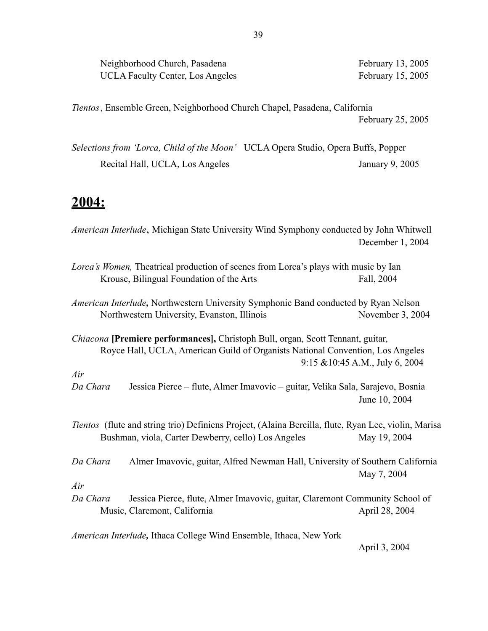Neighborhood Church, Pasadena February 13, 2005 UCLA Faculty Center, Los Angeles February 15, 2005

*Tientos* , Ensemble Green, Neighborhood Church Chapel, Pasadena, California February 25, 2005

*Selections from 'Lorca, Child of the Moon'* UCLA Opera Studio, Opera Buffs, Popper Recital Hall, UCLA, Los Angeles January 9, 2005

# **2004:**

*American Interlude*, Michigan State University Wind Symphony conducted by John Whitwell December 1, 2004 *Lorca's Women,* Theatrical production of scenes from Lorca's plays with music by Ian Krouse, Bilingual Foundation of the Arts Fall, 2004 *American Interlude,* Northwestern University Symphonic Band conducted by Ryan Nelson Northwestern University, Evanston, Illinois November 3, 2004 *Chiacona* **[Premiere performances],** Christoph Bull, organ, Scott Tennant, guitar, Royce Hall, UCLA, American Guild of Organists National Convention, Los Angeles 9:15 &10:45 A.M., July 6, 2004 *Air Da Chara* Jessica Pierce – flute, Almer Imavovic – guitar, Velika Sala, Sarajevo, Bosnia June 10, 2004 *Tientos* (flute and string trio) Definiens Project, (Alaina Bercilla, flute, Ryan Lee, violin, Marisa Bushman, viola, Carter Dewberry, cello) Los Angeles May 19, 2004 *Da Chara* Almer Imavovic, guitar, Alfred Newman Hall, University of Southern California May 7, 2004 *Air Da Chara* Jessica Pierce, flute, Almer Imavovic, guitar, Claremont Community School of Music, Claremont, California April 28, 2004 *American Interlude,* Ithaca College Wind Ensemble, Ithaca, New York April 3, 2004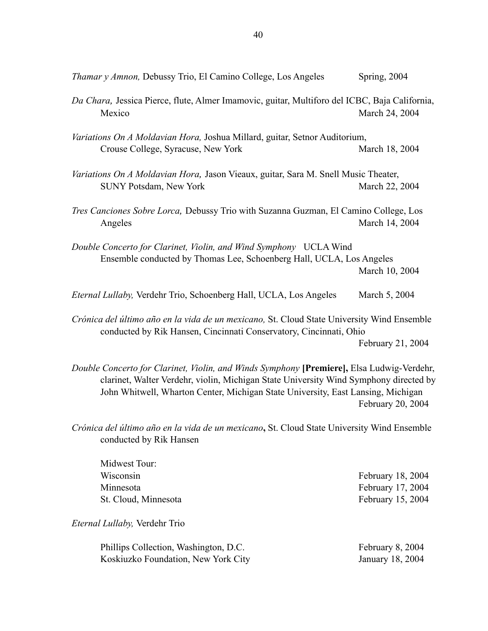| <i>Thamar y Amnon, Debussy Trio, El Camino College, Los Angeles</i>                                                                                                                                                                                                    | Spring, 2004   |  |  |
|------------------------------------------------------------------------------------------------------------------------------------------------------------------------------------------------------------------------------------------------------------------------|----------------|--|--|
| Da Chara, Jessica Pierce, flute, Almer Imamovic, guitar, Multiforo del ICBC, Baja California,<br>Mexico                                                                                                                                                                | March 24, 2004 |  |  |
| Variations On A Moldavian Hora, Joshua Millard, guitar, Setnor Auditorium,<br>Crouse College, Syracuse, New York                                                                                                                                                       | March 18, 2004 |  |  |
| Variations On A Moldavian Hora, Jason Vieaux, guitar, Sara M. Snell Music Theater,<br><b>SUNY Potsdam, New York</b>                                                                                                                                                    | March 22, 2004 |  |  |
| Tres Canciones Sobre Lorca, Debussy Trio with Suzanna Guzman, El Camino College, Los<br>Angeles                                                                                                                                                                        | March 14, 2004 |  |  |
| Double Concerto for Clarinet, Violin, and Wind Symphony UCLA Wind<br>Ensemble conducted by Thomas Lee, Schoenberg Hall, UCLA, Los Angeles                                                                                                                              | March 10, 2004 |  |  |
| Eternal Lullaby, Verdehr Trio, Schoenberg Hall, UCLA, Los Angeles                                                                                                                                                                                                      | March 5, 2004  |  |  |
| Crónica del último año en la vida de un mexicano, St. Cloud State University Wind Ensemble<br>conducted by Rik Hansen, Cincinnati Conservatory, Cincinnati, Ohio<br>February 21, 2004                                                                                  |                |  |  |
| Double Concerto for Clarinet, Violin, and Winds Symphony [Premiere], Elsa Ludwig-Verdehr,<br>clarinet, Walter Verdehr, violin, Michigan State University Wind Symphony directed by<br>John Whitwell, Wharton Center, Michigan State University, East Lansing, Michigan |                |  |  |

February 20, 2004

*Crónica del último año en la vida de un mexicano***,** St. Cloud State University Wind Ensemble conducted by Rik Hansen

| Midwest Tour:        |                   |
|----------------------|-------------------|
| Wisconsin            | February 18, 2004 |
| Minnesota            | February 17, 2004 |
| St. Cloud, Minnesota | February 15, 2004 |

*Eternal Lullaby,* Verdehr Trio

Phillips Collection, Washington, D.C. February 8, 2004 Koskiuzko Foundation, New York City January 18, 2004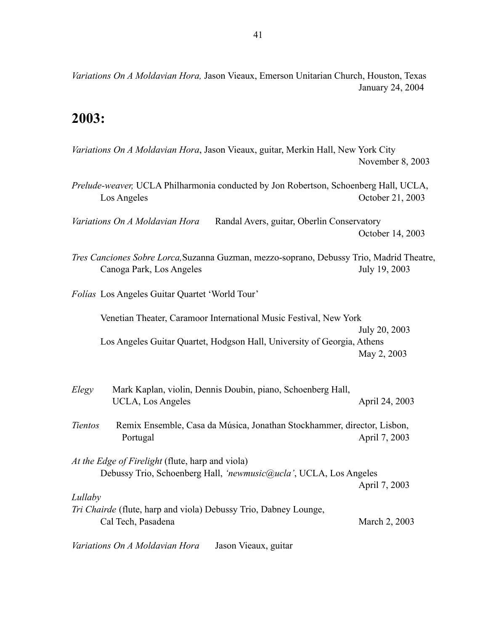*Variations On A Moldavian Hora,* Jason Vieaux, Emerson Unitarian Church, Houston, Texas January 24, 2004

# **2003:**

| Variations On A Moldavian Hora, Jason Vieaux, guitar, Merkin Hall, New York City                                      | November 8, 2003 |
|-----------------------------------------------------------------------------------------------------------------------|------------------|
| Prelude-weaver, UCLA Philharmonia conducted by Jon Robertson, Schoenberg Hall, UCLA,<br>Los Angeles                   | October 21, 2003 |
| Variations On A Moldavian Hora<br>Randal Avers, guitar, Oberlin Conservatory                                          | October 14, 2003 |
| Tres Canciones Sobre Lorca, Suzanna Guzman, mezzo-soprano, Debussy Trio, Madrid Theatre,<br>Canoga Park, Los Angeles  | July 19, 2003    |
| Folias Los Angeles Guitar Quartet 'World Tour'                                                                        |                  |
| Venetian Theater, Caramoor International Music Festival, New York                                                     | July 20, 2003    |
| Los Angeles Guitar Quartet, Hodgson Hall, University of Georgia, Athens                                               | May 2, 2003      |
| Elegy<br>Mark Kaplan, violin, Dennis Doubin, piano, Schoenberg Hall,<br>UCLA, Los Angeles                             | April 24, 2003   |
| Tientos<br>Remix Ensemble, Casa da Música, Jonathan Stockhammer, director, Lisbon,<br>Portugal                        | April 7, 2003    |
| At the Edge of Firelight (flute, harp and viola)<br>Debussy Trio, Schoenberg Hall, 'newmusic@ucla', UCLA, Los Angeles | April 7, 2003    |
| Lullaby<br>Tri Chairde (flute, harp and viola) Debussy Trio, Dabney Lounge,<br>Cal Tech, Pasadena                     | March 2, 2003    |

*Variations On A Moldavian Hora* Jason Vieaux, guitar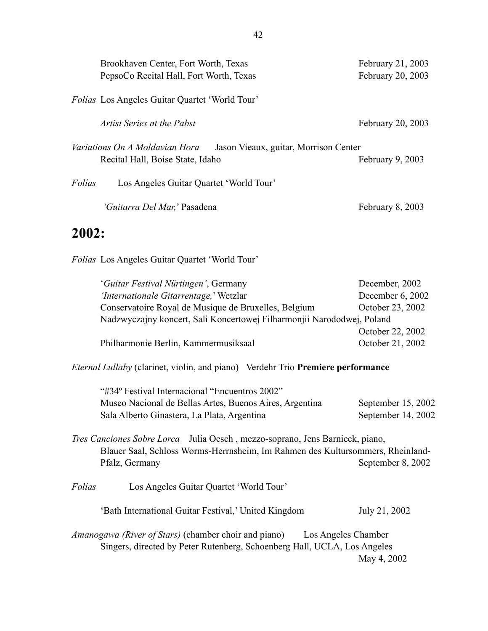|        | Brookhaven Center, Fort Worth, Texas<br>PepsoCo Recital Hall, Fort Worth, Texas                             | February 21, 2003<br>February 20, 2003 |
|--------|-------------------------------------------------------------------------------------------------------------|----------------------------------------|
|        | <i>Folias</i> Los Angeles Guitar Quartet 'World Tour'                                                       |                                        |
|        | Artist Series at the Pabst                                                                                  | February 20, 2003                      |
|        | Variations On A Moldavian Hora<br>Jason Vieaux, guitar, Morrison Center<br>Recital Hall, Boise State, Idaho | February 9, 2003                       |
| Folías | Los Angeles Guitar Quartet 'World Tour'                                                                     |                                        |
|        | <i>'Guitarra Del Mar,'</i> Pasadena                                                                         | February 8, 2003                       |

# **2002:**

*Folías* Los Angeles Guitar Quartet 'World Tour'

| <i>'Guitar Festival Nürtingen'</i> , Germany                           | December, 2002   |
|------------------------------------------------------------------------|------------------|
| 'Internationale Gitarrentage,' Wetzlar                                 | December 6, 2002 |
| Conservatoire Royal de Musique de Bruxelles, Belgium                   | October 23, 2002 |
| Nadzwyczajny koncert, Sali Koncertowej Filharmonjii Narododwej, Poland |                  |
|                                                                        | October 22, 2002 |
| Philharmonie Berlin, Kammermusiksaal                                   | October 21, 2002 |

*Eternal Lullaby* (clarinet, violin, and piano) Verdehr Trio **Premiere performance**

| "#34° Festival Internacional "Encuentros 2002"          |                    |
|---------------------------------------------------------|--------------------|
| Museo Nacional de Bellas Artes, Buenos Aires, Argentina | September 15, 2002 |
| Sala Alberto Ginastera, La Plata, Argentina             | September 14, 2002 |

### *Tres Canciones Sobre Lorca* Julia Oesch , mezzo-soprano, Jens Barnieck, piano, Blauer Saal, Schloss Worms-Herrnsheim, Im Rahmen des Kultursommers, Rheinland-Pfalz, Germany September 8, 2002

*Folías* Los Angeles Guitar Quartet 'World Tour'

'Bath International Guitar Festival,' United Kingdom July 21, 2002

*Amanogawa (River of Stars)* (chamber choir and piano) Los Angeles Chamber Singers, directed by Peter Rutenberg, Schoenberg Hall, UCLA, Los Angeles May 4, 2002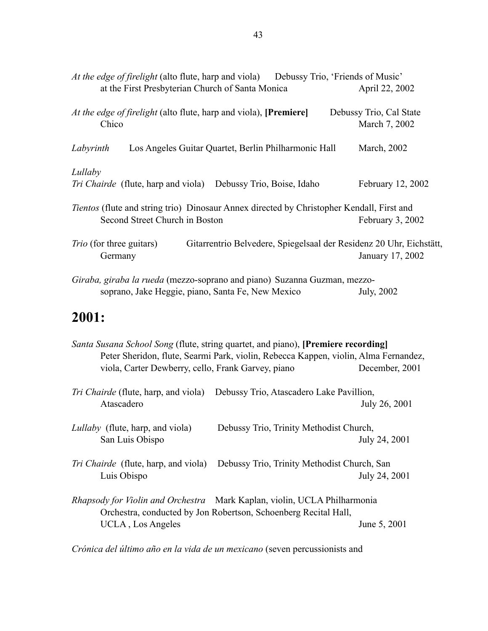| At the edge of firelight (alto flute, harp and viola) Debussy Trio, 'Friends of Music'                            |                                          |
|-------------------------------------------------------------------------------------------------------------------|------------------------------------------|
| at the First Presbyterian Church of Santa Monica                                                                  | April 22, 2002                           |
| At the edge of firelight (alto flute, harp and viola), [Premiere]<br>Chico                                        | Debussy Trio, Cal State<br>March 7, 2002 |
| Los Angeles Guitar Quartet, Berlin Philharmonic Hall<br>Labyrinth                                                 | March, 2002                              |
| Lullaby                                                                                                           |                                          |
| Tri Chairde (flute, harp and viola) Debussy Trio, Boise, Idaho                                                    | February 12, 2002                        |
| <i>Tientos</i> (flute and string trio) Dinosaur Annex directed by Christopher Kendall, First and                  |                                          |
| Second Street Church in Boston                                                                                    | February 3, 2002                         |
| <i>Trio</i> (for three guitars)<br>Gitarrentrio Belvedere, Spiegelsaal der Residenz 20 Uhr, Eichstätt,<br>Germany | January 17, 2002                         |
| Giraba, giraba la rueda (mezzo-soprano and piano) Suzanna Guzman, mezzo-                                          |                                          |
| soprano, Jake Heggie, piano, Santa Fe, New Mexico                                                                 | July, 2002                               |

# **2001:**

|                                                    | <i>Santa Susana School Song</i> (flute, string quartet, and piano), [Premiere recording]<br>Peter Sheridon, flute, Searmi Park, violin, Rebecca Kappen, violin, Alma Fernandez, |                |
|----------------------------------------------------|---------------------------------------------------------------------------------------------------------------------------------------------------------------------------------|----------------|
| viola, Carter Dewberry, cello, Frank Garvey, piano |                                                                                                                                                                                 | December, 2001 |
|                                                    | <i>Tri Chairde</i> (flute, harp, and viola) Debussy Trio, Atascadero Lake Pavillion,                                                                                            |                |
| Atascadero                                         |                                                                                                                                                                                 | July 26, 2001  |
| Lullaby (flute, harp, and viola)                   | Debussy Trio, Trinity Methodist Church,                                                                                                                                         |                |
| San Luis Obispo                                    |                                                                                                                                                                                 | July 24, 2001  |
|                                                    | <i>Tri Chairde</i> (flute, harp, and viola) Debussy Trio, Trinity Methodist Church, San                                                                                         |                |
| Luis Obispo                                        |                                                                                                                                                                                 | July 24, 2001  |
|                                                    | Rhapsody for Violin and Orchestra Mark Kaplan, violin, UCLA Philharmonia                                                                                                        |                |
|                                                    | Orchestra, conducted by Jon Robertson, Schoenberg Recital Hall,                                                                                                                 |                |
| UCLA, Los Angeles                                  |                                                                                                                                                                                 | June 5, 2001   |

*Crónica del último año en la vida de un mexicano* (seven percussionists and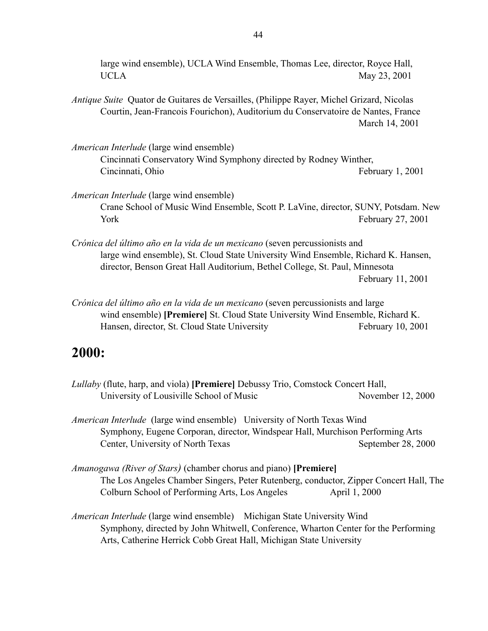large wind ensemble), UCLA Wind Ensemble, Thomas Lee, director, Royce Hall, UCLA May 23, 2001

- *Antique Suite* Quator de Guitares de Versailles, (Philippe Rayer, Michel Grizard, Nicolas Courtin, Jean-Francois Fourichon), Auditorium du Conservatoire de Nantes, France March 14, 2001
- *American Interlude* (large wind ensemble) Cincinnati Conservatory Wind Symphony directed by Rodney Winther, Cincinnati, Ohio **February 1, 2001**
- *American Interlude* (large wind ensemble) Crane School of Music Wind Ensemble, Scott P. LaVine, director, SUNY, Potsdam. New York February 27, 2001
- *Crónica del último año en la vida de un mexicano* (seven percussionists and large wind ensemble), St. Cloud State University Wind Ensemble, Richard K. Hansen, director, Benson Great Hall Auditorium, Bethel College, St. Paul, Minnesota February 11, 2001
- *Crónica del último año en la vida de un mexicano* (seven percussionists and large wind ensemble) **[Premiere]** St. Cloud State University Wind Ensemble, Richard K. Hansen, director, St. Cloud State University February 10, 2001

# **2000:**

- *Lullaby* (flute, harp, and viola) **[Premiere]** Debussy Trio, Comstock Concert Hall, University of Lousiville School of Music November 12, 2000
- *American Interlude* (large wind ensemble) University of North Texas Wind Symphony, Eugene Corporan, director, Windspear Hall, Murchison Performing Arts Center, University of North Texas September 28, 2000
- *Amanogawa (River of Stars)* (chamber chorus and piano) **[Premiere]**  The Los Angeles Chamber Singers, Peter Rutenberg, conductor, Zipper Concert Hall, The Colburn School of Performing Arts, Los Angeles April 1, 2000
- *American Interlude* (large wind ensemble) Michigan State University Wind Symphony, directed by John Whitwell, Conference, Wharton Center for the Performing Arts, Catherine Herrick Cobb Great Hall, Michigan State University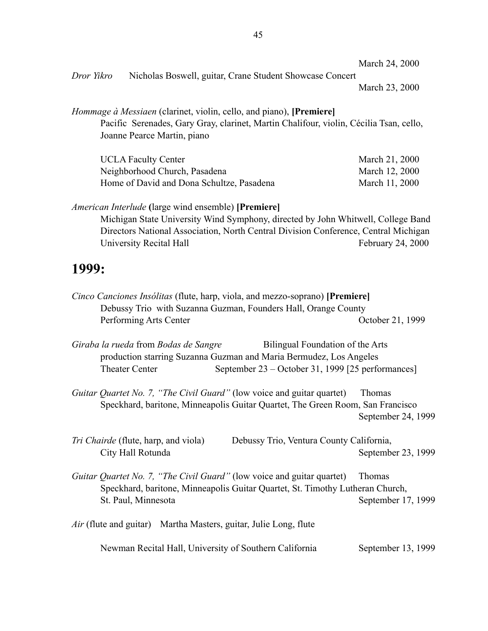| March 24, 2000 |  |  |  |  |  |
|----------------|--|--|--|--|--|
|----------------|--|--|--|--|--|

*Dror Yikro* Nicholas Boswell, guitar, Crane Student Showcase Concert

March 23, 2000

#### *Hommage à Messiaen* (clarinet, violin, cello, and piano), **[Premiere]**

Pacific Serenades, Gary Gray, clarinet, Martin Chalifour, violin, Cécilia Tsan, cello, Joanne Pearce Martin, piano

| <b>UCLA Faculty Center</b>                | March 21, 2000 |
|-------------------------------------------|----------------|
| Neighborhood Church, Pasadena             | March 12, 2000 |
| Home of David and Dona Schultze, Pasadena | March 11, 2000 |

#### *American Interlude* **(**large wind ensemble) **[Premiere]**

Michigan State University Wind Symphony, directed by John Whitwell, College Band Directors National Association, North Central Division Conference, Central Michigan University Recital Hall February 24, 2000

## **1999:**

| <i>Cinco Canciones Insólitas</i> (flute, harp, viola, and mezzo-soprano) [ <b>Premiere</b> ] |                  |
|----------------------------------------------------------------------------------------------|------------------|
| Debussy Trio with Suzanna Guzman, Founders Hall, Orange County                               |                  |
| Performing Arts Center                                                                       | October 21, 1999 |

*Giraba la rueda* from *Bodas de Sangre* Bilingual Foundation of the Arts production starring Suzanna Guzman and Maria Bermudez, Los Angeles Theater Center September 23 – October 31, 1999 [25 performances]

*Guitar Quartet No. 7, "The Civil Guard"* (low voice and guitar quartet) Thomas Speckhard, baritone, Minneapolis Guitar Quartet, The Green Room, San Francisco September 24, 1999

- *Tri Chairde* (flute, harp, and viola) Debussy Trio, Ventura County California, City Hall Rotunda<br>
September 23, 1999
- *Guitar Quartet No. 7, "The Civil Guard"* (low voice and guitar quartet) Thomas Speckhard, baritone, Minneapolis Guitar Quartet, St. Timothy Lutheran Church, St. Paul, Minnesota September 17, 1999

*Air* (flute and guitar) Martha Masters, guitar, Julie Long, flute

Newman Recital Hall, University of Southern California September 13, 1999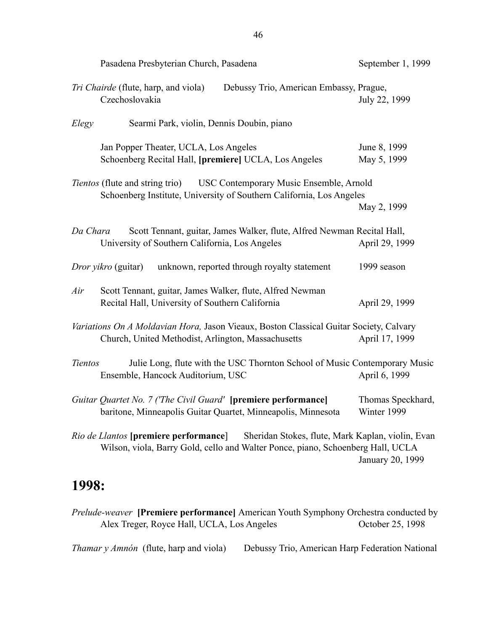| Pasadena Presbyterian Church, Pasadena                                                                                                                                               | September 1, 1999                |
|--------------------------------------------------------------------------------------------------------------------------------------------------------------------------------------|----------------------------------|
| Tri Chairde (flute, harp, and viola)<br>Debussy Trio, American Embassy, Prague,<br>Czechoslovakia                                                                                    | July 22, 1999                    |
| Searmi Park, violin, Dennis Doubin, piano<br>Elegy                                                                                                                                   |                                  |
| Jan Popper Theater, UCLA, Los Angeles<br>Schoenberg Recital Hall, [premiere] UCLA, Los Angeles                                                                                       | June 8, 1999<br>May 5, 1999      |
| <i>Tientos</i> (flute and string trio) USC Contemporary Music Ensemble, Arnold<br>Schoenberg Institute, University of Southern California, Los Angeles                               | May 2, 1999                      |
| Scott Tennant, guitar, James Walker, flute, Alfred Newman Recital Hall,<br>Da Chara<br>University of Southern California, Los Angeles                                                | April 29, 1999                   |
| <i>Dror yikro</i> (guitar)<br>unknown, reported through royalty statement                                                                                                            | 1999 season                      |
| Scott Tennant, guitar, James Walker, flute, Alfred Newman<br>Air<br>Recital Hall, University of Southern California                                                                  | April 29, 1999                   |
| Variations On A Moldavian Hora, Jason Vieaux, Boston Classical Guitar Society, Calvary<br>Church, United Methodist, Arlington, Massachusetts                                         | April 17, 1999                   |
| Julie Long, flute with the USC Thornton School of Music Contemporary Music<br><b>Tientos</b><br>Ensemble, Hancock Auditorium, USC                                                    | April 6, 1999                    |
| Guitar Quartet No. 7 ('The Civil Guard' [premiere performance]<br>baritone, Minneapolis Guitar Quartet, Minneapolis, Minnesota                                                       | Thomas Speckhard,<br>Winter 1999 |
| <i>Rio de Llantos</i> [premiere performance]<br>Sheridan Stokes, flute, Mark Kaplan, violin, Evan<br>Wilson, viola, Barry Gold, cello and Walter Ponce, piano, Schoenberg Hall, UCLA | January 20, 1999                 |

# **1998:**

*Prelude-weaver* **[Premiere performance]** American Youth Symphony Orchestra conducted by Alex Treger, Royce Hall, UCLA, Los Angeles October 25, 1998

*Thamar y Amnón* (flute, harp and viola) Debussy Trio, American Harp Federation National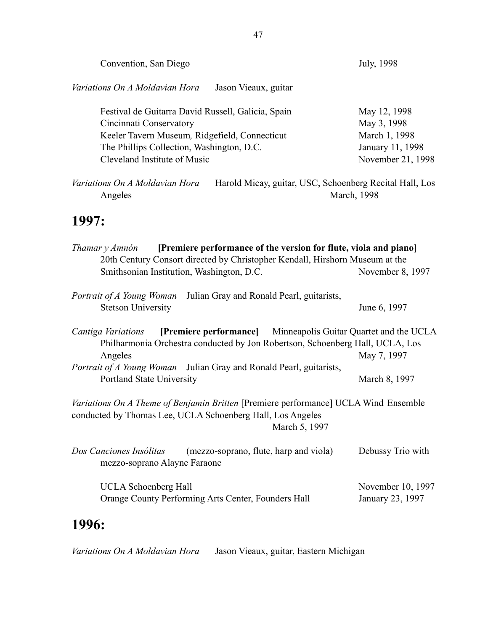| Convention, San Diego                                                                                                                                                                                                                                                  | July, 1998                                                                            |  |  |
|------------------------------------------------------------------------------------------------------------------------------------------------------------------------------------------------------------------------------------------------------------------------|---------------------------------------------------------------------------------------|--|--|
| Variations On A Moldavian Hora<br>Jason Vieaux, guitar                                                                                                                                                                                                                 |                                                                                       |  |  |
| Festival de Guitarra David Russell, Galicia, Spain<br>Cincinnati Conservatory<br>Keeler Tavern Museum, Ridgefield, Connecticut<br>The Phillips Collection, Washington, D.C.<br>Cleveland Institute of Music                                                            | May 12, 1998<br>May 3, 1998<br>March 1, 1998<br>January 11, 1998<br>November 21, 1998 |  |  |
| Variations On A Moldavian Hora<br>Harold Micay, guitar, USC, Schoenberg Recital Hall, Los<br>March, 1998<br>Angeles                                                                                                                                                    |                                                                                       |  |  |
| 1997:                                                                                                                                                                                                                                                                  |                                                                                       |  |  |
| [Premiere performance of the version for flute, viola and piano]<br>Thamar y Amnón<br>20th Century Consort directed by Christopher Kendall, Hirshorn Museum at the<br>Smithsonian Institution, Washington, D.C.<br>November 8, 1997                                    |                                                                                       |  |  |
| Julian Gray and Ronald Pearl, guitarists,<br>Portrait of A Young Woman<br><b>Stetson University</b>                                                                                                                                                                    | June 6, 1997                                                                          |  |  |
| [Premiere performance] Minneapolis Guitar Quartet and the UCLA<br>Cantiga Variations<br>Philharmonia Orchestra conducted by Jon Robertson, Schoenberg Hall, UCLA, Los<br>Angeles<br>May 7, 1997<br>Portrait of A Young Woman Julian Gray and Ronald Pearl, guitarists, |                                                                                       |  |  |
| Portland State University                                                                                                                                                                                                                                              | March 8, 1997                                                                         |  |  |
| Variations On A Theme of Benjamin Britten [Premiere performance] UCLA Wind Ensemble<br>conducted by Thomas Lee, UCLA Schoenberg Hall, Los Angeles<br>March 5, 1997                                                                                                     |                                                                                       |  |  |
| Dos Canciones Insólitas<br>(mezzo-soprano, flute, harp and viola)<br>mezzo-soprano Alayne Faraone                                                                                                                                                                      | Debussy Trio with                                                                     |  |  |
| <b>UCLA</b> Schoenberg Hall<br>Orange County Performing Arts Center, Founders Hall                                                                                                                                                                                     | November 10, 1997<br>January 23, 1997                                                 |  |  |
| 1 AA Z                                                                                                                                                                                                                                                                 |                                                                                       |  |  |

# **1996:**

*Variations On A Moldavian Hora* Jason Vieaux, guitar, Eastern Michigan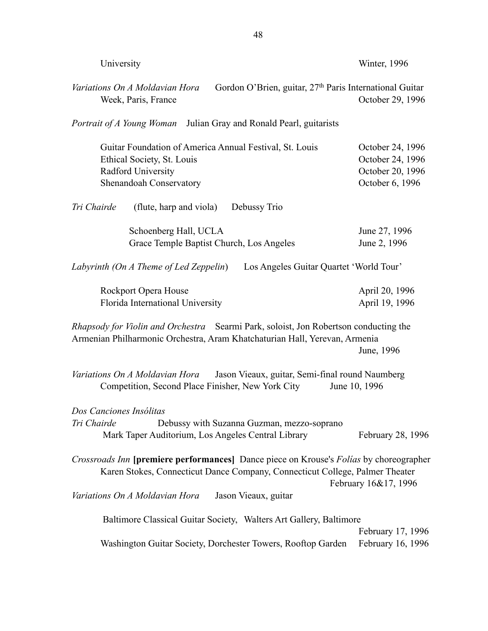| University                                                                                                                                                                | Winter, 1996                                                                |
|---------------------------------------------------------------------------------------------------------------------------------------------------------------------------|-----------------------------------------------------------------------------|
| Gordon O'Brien, guitar, 27 <sup>th</sup> Paris International Guitar<br>Variations On A Moldavian Hora<br>Week, Paris, France                                              | October 29, 1996                                                            |
| <i>Portrait of A Young Woman</i> Julian Gray and Ronald Pearl, guitarists                                                                                                 |                                                                             |
| Guitar Foundation of America Annual Festival, St. Louis<br>Ethical Society, St. Louis<br>Radford University<br>Shenandoah Conservatory                                    | October 24, 1996<br>October 24, 1996<br>October 20, 1996<br>October 6, 1996 |
| Tri Chairde<br>(flute, harp and viola)<br>Debussy Trio                                                                                                                    |                                                                             |
| Schoenberg Hall, UCLA<br>Grace Temple Baptist Church, Los Angeles                                                                                                         | June 27, 1996<br>June 2, 1996                                               |
| Labyrinth (On A Theme of Led Zeppelin)<br>Los Angeles Guitar Quartet 'World Tour'                                                                                         |                                                                             |
| Rockport Opera House<br>Florida International University                                                                                                                  | April 20, 1996<br>April 19, 1996                                            |
| <i>Rhapsody for Violin and Orchestra</i> Searmi Park, soloist, Jon Robertson conducting the<br>Armenian Philharmonic Orchestra, Aram Khatchaturian Hall, Yerevan, Armenia | June, 1996                                                                  |
| Variations On A Moldavian Hora<br>Jason Vieaux, guitar, Semi-final round Naumberg<br>Competition, Second Place Finisher, New York City                                    | June 10, 1996                                                               |
| Dos Canciones Insólitas<br>Tri Chairde<br>Debussy with Suzanna Guzman, mezzo-soprano<br>Mark Taper Auditorium, Los Angeles Central Library                                | February 28, 1996                                                           |
| Crossroads Inn [premiere performances] Dance piece on Krouse's Folias by choreographer<br>Karen Stokes, Connecticut Dance Company, Connecticut College, Palmer Theater    | February 16&17, 1996                                                        |
| Variations On A Moldavian Hora<br>Jason Vieaux, guitar                                                                                                                    |                                                                             |
| Baltimore Classical Guitar Society, Walters Art Gallery, Baltimore<br>Washington Guitar Society, Dorchester Towers, Rooftop Garden                                        | February 17, 1996<br>February 16, 1996                                      |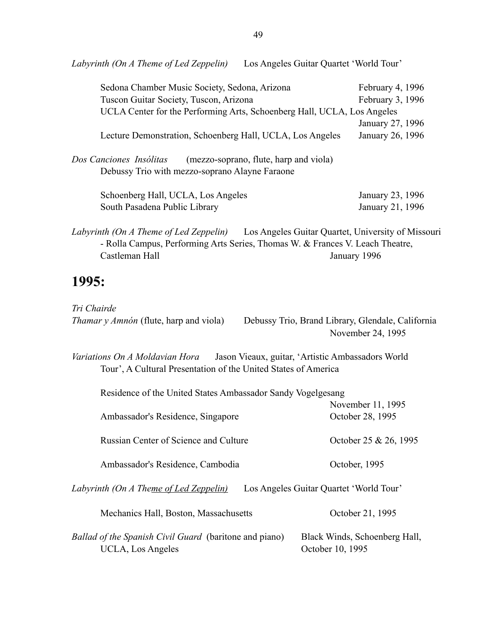| Sedona Chamber Music Society, Sedona, Arizona                                                                       | February 4, 1996 |
|---------------------------------------------------------------------------------------------------------------------|------------------|
| Tuscon Guitar Society, Tuscon, Arizona                                                                              | February 3, 1996 |
| UCLA Center for the Performing Arts, Schoenberg Hall, UCLA, Los Angeles                                             |                  |
|                                                                                                                     | January 27, 1996 |
| Lecture Demonstration, Schoenberg Hall, UCLA, Los Angeles                                                           | January 26, 1996 |
| (mezzo-soprano, flute, harp and viola)<br>Dos Canciones Insólitas<br>Debussy Trio with mezzo-soprano Alayne Faraone |                  |
| Schoenberg Hall, UCLA, Los Angeles                                                                                  | January 23, 1996 |
| South Pasadena Public Library                                                                                       | January 21, 1996 |
| Los Angeles Guitar Quartet, University of Missouri<br>Labyrinth (On A Theme of Led Zeppelin)                        |                  |

- Rolla Campus, Performing Arts Series, Thomas W. & Frances V. Leach Theatre, Castleman Hall January 1996

# **1995:**

| Tri Chairde                                                                                                                                               |                                                                        |
|-----------------------------------------------------------------------------------------------------------------------------------------------------------|------------------------------------------------------------------------|
| <i>Thamar y Amnón</i> (flute, harp and viola)                                                                                                             | Debussy Trio, Brand Library, Glendale, California<br>November 24, 1995 |
| <i>Variations On A Moldavian Hora</i> Jason Vieaux, guitar, 'Artistic Ambassadors World<br>Tour', A Cultural Presentation of the United States of America |                                                                        |
| Residence of the United States Ambassador Sandy Vogelgesang                                                                                               |                                                                        |
|                                                                                                                                                           | November 11, 1995                                                      |
| Ambassador's Residence, Singapore                                                                                                                         | October 28, 1995                                                       |
| Russian Center of Science and Culture                                                                                                                     | October 25 & 26, 1995                                                  |
| Ambassador's Residence, Cambodia                                                                                                                          | October, 1995                                                          |
| Labyrinth (On A The <u>me of Led Zeppelin)</u>                                                                                                            | Los Angeles Guitar Quartet 'World Tour'                                |
| Mechanics Hall, Boston, Massachusetts                                                                                                                     | October 21, 1995                                                       |
| Ballad of the Spanish Civil Guard (baritone and piano)<br>UCLA, Los Angeles                                                                               | Black Winds, Schoenberg Hall,<br>October 10, 1995                      |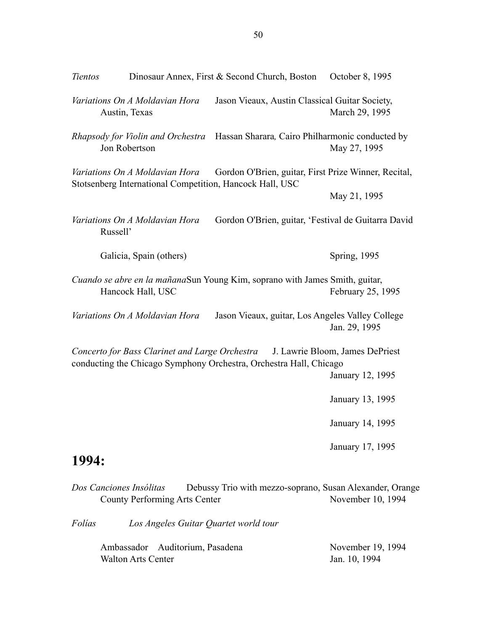| <b>Tientos</b> |                                                 | Dinosaur Annex, First & Second Church, Boston                                                                    | October 8, 1995                                     |
|----------------|-------------------------------------------------|------------------------------------------------------------------------------------------------------------------|-----------------------------------------------------|
|                | Variations On A Moldavian Hora<br>Austin, Texas | Jason Vieaux, Austin Classical Guitar Society,                                                                   | March 29, 1995                                      |
|                | Jon Robertson                                   | Rhapsody for Violin and Orchestra Hassan Sharara, Cairo Philharmonic conducted by                                | May 27, 1995                                        |
|                | Variations On A Moldavian Hora                  | Gordon O'Brien, guitar, First Prize Winner, Recital,<br>Stotsenberg International Competition, Hancock Hall, USC | May 21, 1995                                        |
| Russell'       | Variations On A Moldavian Hora                  | Gordon O'Brien, guitar, 'Festival de Guitarra David                                                              |                                                     |
|                | Galicia, Spain (others)                         |                                                                                                                  | <b>Spring, 1995</b>                                 |
|                | Hancock Hall, USC                               | Cuando se abre en la mañanaSun Young Kim, soprano with James Smith, guitar,                                      | February 25, 1995                                   |
|                | Variations On A Moldavian Hora                  | Jason Vieaux, guitar, Los Angeles Valley College                                                                 | Jan. 29, 1995                                       |
|                | Concerto for Bass Clarinet and Large Orchestra  | conducting the Chicago Symphony Orchestra, Orchestra Hall, Chicago                                               | J. Lawrie Bloom, James DePriest<br>January 12, 1995 |
|                |                                                 |                                                                                                                  | January 13, 1995                                    |
|                |                                                 |                                                                                                                  | January 14, 1995                                    |
| 1994:          |                                                 |                                                                                                                  | January 17, 1995                                    |
|                |                                                 | <i>Dos Canciones Insólitas</i> Debussy Trio with mezzo-sonrano Susan Alexander Orang                             |                                                     |

*Dos Canciones Insólitas* Debussy Trio with mezzo-soprano, Susan Alexander, Orange County Performing Arts Center

*Folías Los Angeles Guitar Quartet world tour* 

| Ambassador Auditorium, Pasadena | November 19, 1994 |
|---------------------------------|-------------------|
| Walton Arts Center              | Jan. 10, 1994     |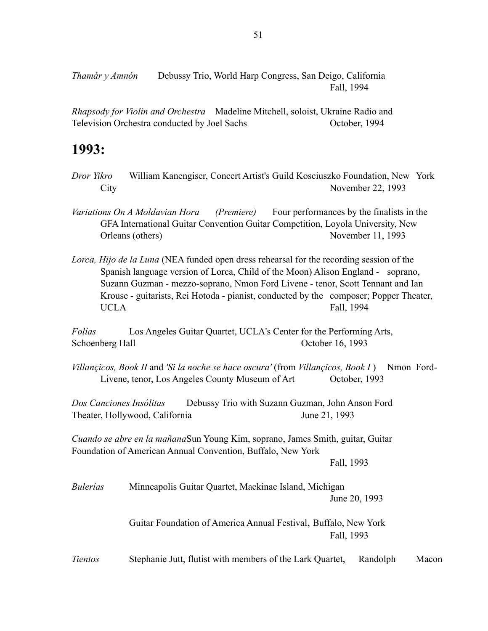*Thamár y Amnón* Debussy Trio, World Harp Congress, San Deigo, California Fall, 1994

*Rhapsody for Violin and Orchestra* Madeline Mitchell, soloist, Ukraine Radio and Television Orchestra conducted by Joel Sachs October, 1994

# **1993:**

- *Dror Yikro* William Kanengiser, Concert Artist's Guild Kosciuszko Foundation, New York City November 22, 1993
- *Variations On A Moldavian Hora (Premiere)* Four performances by the finalists in the GFA International Guitar Convention Guitar Competition, Loyola University, New Orleans (others) November 11, 1993
- *Lorca, Hijo de la Luna* (NEA funded open dress rehearsal for the recording session of the Spanish language version of Lorca, Child of the Moon) Alison England - soprano, Suzann Guzman - mezzo-soprano, Nmon Ford Livene - tenor, Scott Tennant and Ian Krouse - guitarists, Rei Hotoda - pianist, conducted by the composer; Popper Theater, UCLA Fall, 1994

*Folías* Los Angeles Guitar Quartet, UCLA's Center for the Performing Arts, Schoenberg Hall Cotober 16, 1993

*Villançicos, Book II* and *'Si la noche se hace oscura'* (from *Villançicos, Book I* ) Nmon Ford-Livene, tenor, Los Angeles County Museum of Art October, 1993

*Dos Canciones Insólitas* Debussy Trio with Suzann Guzman, John Anson Ford Theater, Hollywood, California June 21, 1993

*Cuando se abre en la mañana* Sun Young Kim, soprano, James Smith, guitar, Guitar Foundation of American Annual Convention, Buffalo, New York

Fall, 1993

*Bulerías* Minneapolis Guitar Quartet, Mackinac Island, Michigan June 20, 1993

> Guitar Foundation of America Annual Festival, Buffalo, New York Fall, 1993

*Tientos* Stephanie Jutt, flutist with members of the Lark Quartet, Randolph Macon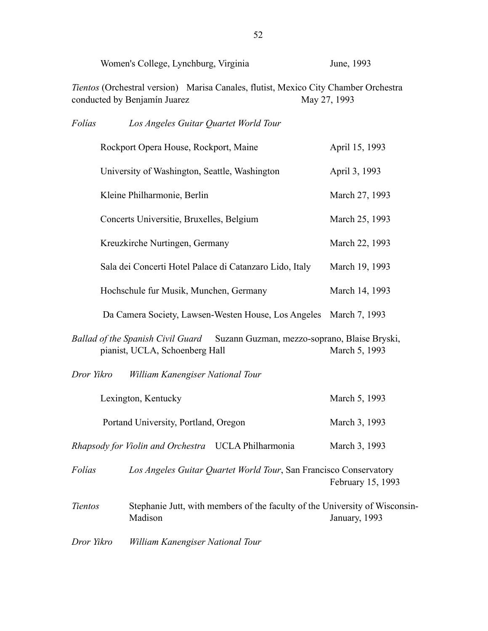|                | Women's College, Lynchburg, Virginia                                                                                | June, 1993        |
|----------------|---------------------------------------------------------------------------------------------------------------------|-------------------|
|                | Tientos (Orchestral version) Marisa Canales, flutist, Mexico City Chamber Orchestra<br>conducted by Benjamín Juarez | May 27, 1993      |
| Folías         | Los Angeles Guitar Quartet World Tour                                                                               |                   |
|                | Rockport Opera House, Rockport, Maine                                                                               | April 15, 1993    |
|                | University of Washington, Seattle, Washington                                                                       | April 3, 1993     |
|                | Kleine Philharmonie, Berlin                                                                                         | March 27, 1993    |
|                | Concerts Universitie, Bruxelles, Belgium                                                                            | March 25, 1993    |
|                | Kreuzkirche Nurtingen, Germany                                                                                      | March 22, 1993    |
|                | Sala dei Concerti Hotel Palace di Catanzaro Lido, Italy                                                             | March 19, 1993    |
|                | Hochschule fur Musik, Munchen, Germany                                                                              | March 14, 1993    |
|                | Da Camera Society, Lawsen-Westen House, Los Angeles March 7, 1993                                                   |                   |
|                | Ballad of the Spanish Civil Guard Suzann Guzman, mezzo-soprano, Blaise Bryski,<br>pianist, UCLA, Schoenberg Hall    | March 5, 1993     |
| Dror Yikro     | William Kanengiser National Tour                                                                                    |                   |
|                | Lexington, Kentucky                                                                                                 | March 5, 1993     |
|                | Portand University, Portland, Oregon                                                                                | March 3, 1993     |
|                | Rhapsody for Violin and Orchestra UCLA Philharmonia                                                                 | March 3, 1993     |
| Folias         | Los Angeles Guitar Quartet World Tour, San Francisco Conservatory                                                   | February 15, 1993 |
| <b>Tientos</b> | Stephanie Jutt, with members of the faculty of the University of Wisconsin-<br>Madison                              | January, 1993     |
| Dror Yikro     | William Kanengiser National Tour                                                                                    |                   |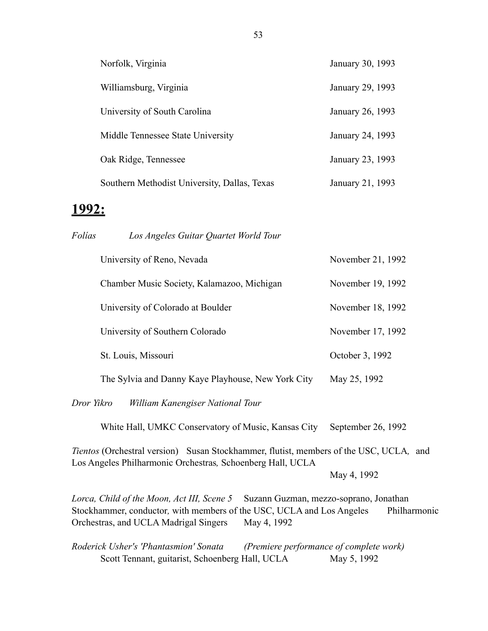| Norfolk, Virginia                            | January 30, 1993 |
|----------------------------------------------|------------------|
| Williamsburg, Virginia                       | January 29, 1993 |
| University of South Carolina                 | January 26, 1993 |
| Middle Tennessee State University            | January 24, 1993 |
| Oak Ridge, Tennessee                         | January 23, 1993 |
| Southern Methodist University, Dallas, Texas | January 21, 1993 |

### **1992:**

| Folías | Los Angeles Guitar Quartet World Tour              |                   |
|--------|----------------------------------------------------|-------------------|
|        | University of Reno, Nevada                         | November 21, 1992 |
|        | Chamber Music Society, Kalamazoo, Michigan         | November 19, 1992 |
|        | University of Colorado at Boulder                  | November 18, 1992 |
|        | University of Southern Colorado                    | November 17, 1992 |
|        | St. Louis, Missouri                                | October 3, 1992   |
|        | The Sylvia and Danny Kaye Playhouse, New York City | May 25, 1992      |
|        |                                                    |                   |

*Dror Yikro William Kanengiser National Tour*

White Hall, UMKC Conservatory of Music, Kansas City September 26, 1992

*Tientos* (Orchestral version) Susan Stockhammer, flutist, members of the USC, UCLA*,* and Los Angeles Philharmonic Orchestras*,* Schoenberg Hall, UCLA

May 4, 1992

*Lorca, Child of the Moon, Act III, Scene 5* Suzann Guzman, mezzo-soprano, Jonathan Stockhammer, conductor*,* with members of the USC, UCLA and Los Angeles Philharmonic Orchestras, and UCLA Madrigal Singers May 4, 1992

*Roderick Usher's 'Phantasmion' Sonata (Premiere performance of complete work)*  Scott Tennant, guitarist, Schoenberg Hall, UCLA May 5, 1992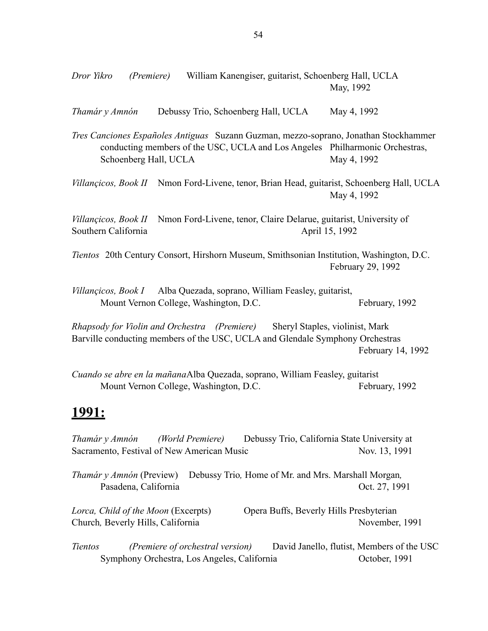*Thamár y Amnón* Debussy Trio, Schoenberg Hall, UCLA May 4, 1992

*Tres Canciones Españoles Antiguas* Suzann Guzman, mezzo-soprano, Jonathan Stockhammer conducting members of the USC, UCLA and Los Angeles Philharmonic Orchestras, Schoenberg Hall, UCLA May 4, 1992

*Villançicos, Book II* Nmon Ford-Livene, tenor, Brian Head, guitarist, Schoenberg Hall, UCLA May 4, 1992

*Villançicos, Book II* Nmon Ford-Livene, tenor, Claire Delarue, guitarist, University of Southern California April 15, 1992

*Tientos* 20th Century Consort, Hirshorn Museum, Smithsonian Institution, Washington, D.C. February 29, 1992

*Villançicos, Book I* Alba Quezada, soprano, William Feasley, guitarist, Mount Vernon College, Washington, D.C. February, 1992

*Rhapsody for Violin and Orchestra (Premiere)* Sheryl Staples, violinist, Mark Barville conducting members of the USC, UCLA and Glendale Symphony Orchestras February 14, 1992

*Cuando se abre en la mañana* Alba Quezada, soprano, William Feasley, guitarist Mount Vernon College, Washington, D.C. February, 1992

# **1991:**

*Thamár y Amnón (World Premiere)* Debussy Trio, California State University at Sacramento, Festival of New American Music Nov. 13, 1991 *Thamár y Amnón* (Preview) Debussy Trio*,* Home of Mr. and Mrs. Marshall Morgan*,* Pasadena, California Cost. 27, 1991 *Lorca, Child of the Moon* (Excerpts) Opera Buffs, Beverly Hills Presbyterian Church*,* Beverly Hills, CaliforniaNovember, 1991 *Tientos (Premiere of orchestral version)* David Janello, flutist, Members of the USC

Symphony Orchestra, Los Angeles, California October, 1991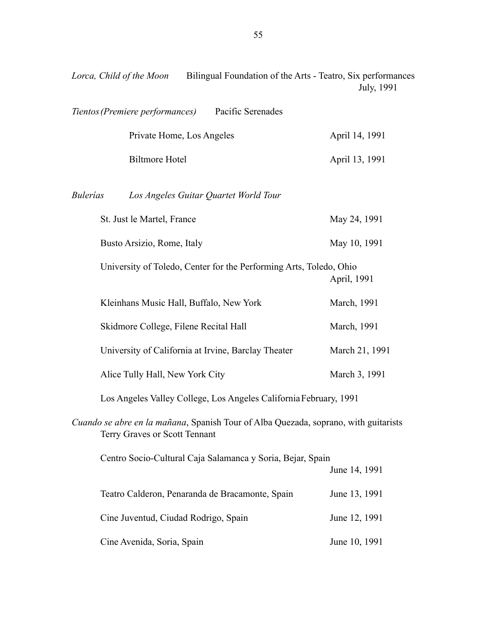| Lorca, Child of the Moon | Bilingual Foundation of the Arts - Teatro, Six performances |            |
|--------------------------|-------------------------------------------------------------|------------|
|                          |                                                             | July, 1991 |

| Tientos (Premiere performances)<br>Pacific Serenades                                                                 |                                                                             |  |  |
|----------------------------------------------------------------------------------------------------------------------|-----------------------------------------------------------------------------|--|--|
| Private Home, Los Angeles                                                                                            | April 14, 1991                                                              |  |  |
| <b>Biltmore Hotel</b>                                                                                                | April 13, 1991                                                              |  |  |
| <b>Bulerías</b><br>Los Angeles Guitar Quartet World Tour                                                             |                                                                             |  |  |
| St. Just le Martel, France                                                                                           | May 24, 1991                                                                |  |  |
| Busto Arsizio, Rome, Italy                                                                                           | May 10, 1991                                                                |  |  |
| University of Toledo, Center for the Performing Arts, Toledo, Ohio                                                   | April, 1991                                                                 |  |  |
| Kleinhans Music Hall, Buffalo, New York                                                                              | March, 1991                                                                 |  |  |
| Skidmore College, Filene Recital Hall                                                                                | March, 1991                                                                 |  |  |
| University of California at Irvine, Barclay Theater                                                                  | March 21, 1991                                                              |  |  |
| Alice Tully Hall, New York City                                                                                      | March 3, 1991                                                               |  |  |
|                                                                                                                      | Los Angeles Valley College, Los Angeles California February, 1991           |  |  |
| Cuando se abre en la mañana, Spanish Tour of Alba Quezada, soprano, with guitarists<br>Terry Graves or Scott Tennant |                                                                             |  |  |
|                                                                                                                      | Centro Socio-Cultural Caja Salamanca y Soria, Bejar, Spain<br>June 14, 1991 |  |  |
| Teatro Calderon, Penaranda de Bracamonte, Spain                                                                      | June 13, 1991                                                               |  |  |
| Cine Juventud, Ciudad Rodrigo, Spain                                                                                 | June 12, 1991                                                               |  |  |
| Cine Avenida, Soria, Spain                                                                                           | June 10, 1991                                                               |  |  |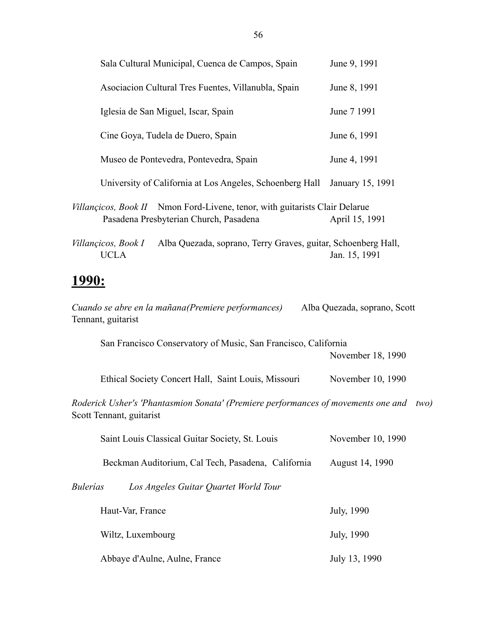| Sala Cultural Municipal, Cuenca de Campos, Spain                                                                      | June 9, 1991                 |
|-----------------------------------------------------------------------------------------------------------------------|------------------------------|
| Asociacion Cultural Tres Fuentes, Villanubla, Spain                                                                   | June 8, 1991                 |
| Iglesia de San Miguel, Iscar, Spain                                                                                   | June 7 1991                  |
| Cine Goya, Tudela de Duero, Spain                                                                                     | June 6, 1991                 |
| Museo de Pontevedra, Pontevedra, Spain                                                                                | June 4, 1991                 |
| University of California at Los Angeles, Schoenberg Hall                                                              | January 15, 1991             |
| Villançicos, Book II Nmon Ford-Livene, tenor, with guitarists Clair Delarue<br>Pasadena Presbyterian Church, Pasadena | April 15, 1991               |
| Alba Quezada, soprano, Terry Graves, guitar, Schoenberg Hall,<br>Villançicos, Book I<br><b>UCLA</b>                   | Jan. 15, 1991                |
| <u> 1990:</u>                                                                                                         |                              |
| Cuando se abre en la mañana(Premiere performances)<br>Tennant, guitarist                                              | Alba Quezada, soprano, Scott |
| San Francisco Conservatory of Music, San Francisco, California                                                        | November 18, 1990            |
| Ethical Society Concert Hall, Saint Louis, Missouri                                                                   | November 10, 1990            |
| Roderick Usher's 'Phantasmion Sonata' (Premiere performances of movements one and<br>Scott Tennant, guitarist         | two)                         |
| Saint Louis Classical Guitar Society, St. Louis                                                                       | November 10, 1990            |
| Beckman Auditorium, Cal Tech, Pasadena, California                                                                    | August 14, 1990              |
| <b>Bulerías</b><br>Los Angeles Guitar Quartet World Tour                                                              |                              |
| Haut-Var, France                                                                                                      | July, 1990                   |
| Wiltz, Luxembourg                                                                                                     | July, 1990                   |
| Abbaye d'Aulne, Aulne, France                                                                                         | July 13, 1990                |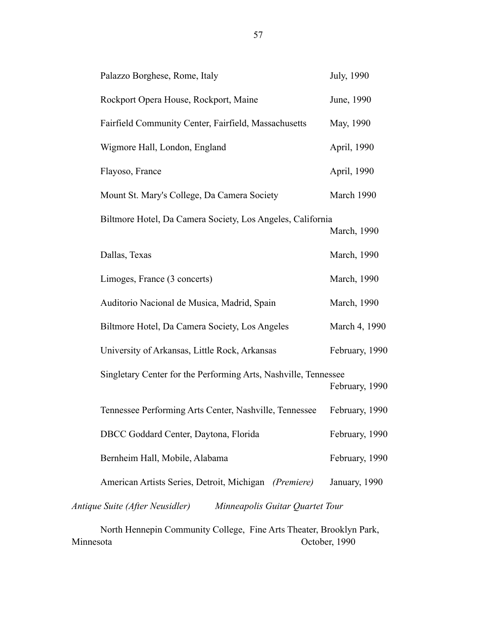| Palazzo Borghese, Rome, Italy                                      | July, 1990     |
|--------------------------------------------------------------------|----------------|
| Rockport Opera House, Rockport, Maine                              | June, 1990     |
| Fairfield Community Center, Fairfield, Massachusetts               | May, 1990      |
| Wigmore Hall, London, England                                      | April, 1990    |
| Flayoso, France                                                    | April, 1990    |
| Mount St. Mary's College, Da Camera Society                        | March 1990     |
| Biltmore Hotel, Da Camera Society, Los Angeles, California         | March, 1990    |
| Dallas, Texas                                                      | March, 1990    |
| Limoges, France (3 concerts)                                       | March, 1990    |
| Auditorio Nacional de Musica, Madrid, Spain                        | March, 1990    |
| Biltmore Hotel, Da Camera Society, Los Angeles                     | March 4, 1990  |
| University of Arkansas, Little Rock, Arkansas                      | February, 1990 |
| Singletary Center for the Performing Arts, Nashville, Tennessee    | February, 1990 |
| Tennessee Performing Arts Center, Nashville, Tennessee             | February, 1990 |
| DBCC Goddard Center, Daytona, Florida                              | February, 1990 |
| Bernheim Hall, Mobile, Alabama                                     | February, 1990 |
| American Artists Series, Detroit, Michigan (Premiere)              | January, 1990  |
| Antique Suite (After Neusidler)<br>Minneapolis Guitar Quartet Tour |                |

 North Hennepin Community College, Fine Arts Theater, Brooklyn Park, Minnesota October, 1990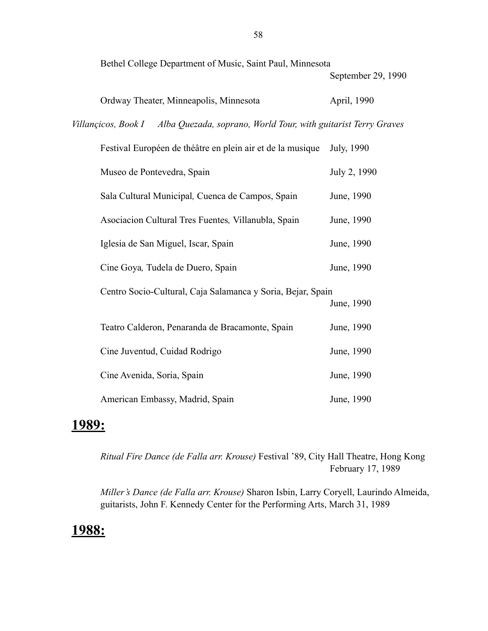Bethel College Department of Music, Saint Paul, Minnesota

September 29, 1990

| Ordway Theater, Minneapolis, Minnesota | April, 1990 |
|----------------------------------------|-------------|
|----------------------------------------|-------------|

*Villançicos, Book I Alba Quezada, soprano, World Tour, with guitarist Terry Graves*

| Festival Européen de théâtre en plein air et de la musique  | July, 1990   |
|-------------------------------------------------------------|--------------|
| Museo de Pontevedra, Spain                                  | July 2, 1990 |
| Sala Cultural Municipal, Cuenca de Campos, Spain            | June, 1990   |
| Asociacion Cultural Tres Fuentes, Villanubla, Spain         | June, 1990   |
| Iglesia de San Miguel, Iscar, Spain                         | June, 1990   |
| Cine Goya, Tudela de Duero, Spain                           | June, 1990   |
| Centro Socio-Cultural, Caja Salamanca y Soria, Bejar, Spain | June, 1990   |
| Teatro Calderon, Penaranda de Bracamonte, Spain             | June, 1990   |
| Cine Juventud, Cuidad Rodrigo                               | June, 1990   |
| Cine Avenida, Soria, Spain                                  | June, 1990   |
| American Embassy, Madrid, Spain                             | June, 1990   |

# **1989:**

*Ritual Fire Dance (de Falla arr. Krouse)* Festival '89, City Hall Theatre, Hong Kong February 17, 1989

*Miller's Dance (de Falla arr. Krouse)* Sharon Isbin, Larry Coryell, Laurindo Almeida, guitarists, John F. Kennedy Center for the Performing Arts, March 31, 1989

# **1988:**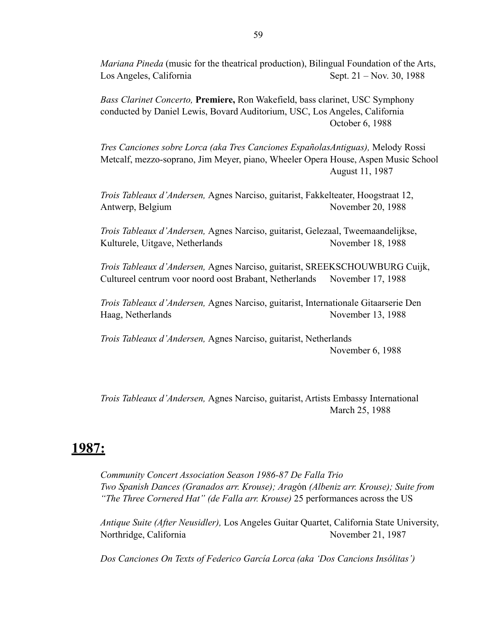*Mariana Pineda* (music for the theatrical production), Bilingual Foundation of the Arts, Los Angeles, California Sept. 21 – Nov. 30, 1988

*Bass Clarinet Concerto,* **Premiere,** Ron Wakefield, bass clarinet, USC Symphony conducted by Daniel Lewis, Bovard Auditorium, USC, Los Angeles, California October 6, 1988

*Tres Canciones sobre Lorca (aka Tres Canciones EspañolasAntiguas),* Melody Rossi Metcalf, mezzo-soprano, Jim Meyer, piano, Wheeler Opera House, Aspen Music School August 11, 1987

*Trois Tableaux d'Andersen,* Agnes Narciso, guitarist, Fakkelteater, Hoogstraat 12, Antwerp, Belgium November 20, 1988

*Trois Tableaux d'Andersen,* Agnes Narciso, guitarist, Gelezaal, Tweemaandelijkse, Kulturele, Uitgave, Netherlands November 18, 1988

*Trois Tableaux d'Andersen,* Agnes Narciso, guitarist, SREEKSCHOUWBURG Cuijk, Cultureel centrum voor noord oost Brabant, Netherlands November 17, 1988

*Trois Tableaux d'Andersen,* Agnes Narciso, guitarist, Internationale Gitaarserie Den Haag, Netherlands November 13, 1988

*Trois Tableaux d'Andersen,* Agnes Narciso, guitarist, Netherlands November 6, 1988

*Trois Tableaux d'Andersen,* Agnes Narciso, guitarist, Artists Embassy International March 25, 1988

## **1987:**

*Community Concert Association Season 1986-87 De Falla Trio Two Spanish Dances (Granados arr. Krouse); Arag*ón *(Albeniz arr. Krouse); Suite from "The Three Cornered Hat" (de Falla arr. Krouse)* 25 performances across the US

*Antique Suite (After Neusidler),* Los Angeles Guitar Quartet, California State University, Northridge, California November 21, 1987

*Dos Canciones On Texts of Federico García Lorca (aka 'Dos Cancions Insólitas')*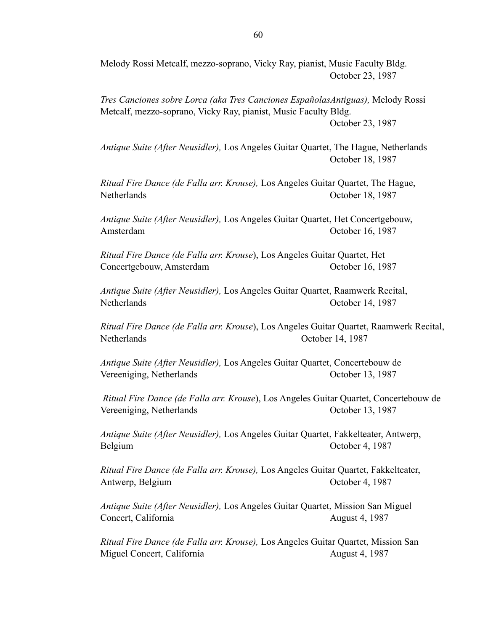Melody Rossi Metcalf, mezzo-soprano, Vicky Ray, pianist, Music Faculty Bldg. October 23, 1987

*Tres Canciones sobre Lorca (aka Tres Canciones EspañolasAntiguas),* Melody Rossi Metcalf, mezzo-soprano, Vicky Ray, pianist, Music Faculty Bldg. October 23, 1987

*Antique Suite (After Neusidler),* Los Angeles Guitar Quartet, The Hague, Netherlands October 18, 1987

*Ritual Fire Dance (de Falla arr. Krouse),* Los Angeles Guitar Quartet, The Hague, Netherlands October 18, 1987

*Antique Suite (After Neusidler),* Los Angeles Guitar Quartet, Het Concertgebouw, Amsterdam October 16, 1987

*Ritual Fire Dance (de Falla arr. Krouse*), Los Angeles Guitar Quartet, Het Concertgebouw, Amsterdam October 16, 1987

*Antique Suite (After Neusidler),* Los Angeles Guitar Quartet, Raamwerk Recital, Netherlands October 14, 1987

*Ritual Fire Dance (de Falla arr. Krouse*), Los Angeles Guitar Quartet, Raamwerk Recital, Netherlands October 14, 1987

*Antique Suite (After Neusidler),* Los Angeles Guitar Quartet, Concertebouw de Vereeniging, Netherlands October 13, 1987

 *Ritual Fire Dance (de Falla arr. Krouse*), Los Angeles Guitar Quartet, Concertebouw de Vereeniging, Netherlands October 13, 1987

*Antique Suite (After Neusidler),* Los Angeles Guitar Quartet, Fakkelteater, Antwerp, Belgium October 4, 1987

*Ritual Fire Dance (de Falla arr. Krouse),* Los Angeles Guitar Quartet, Fakkelteater, Antwerp, Belgium October 4, 1987

*Antique Suite (After Neusidler),* Los Angeles Guitar Quartet, Mission San Miguel Concert, California August 4, 1987

*Ritual Fire Dance (de Falla arr. Krouse),* Los Angeles Guitar Quartet, Mission San Miguel Concert, California August 4, 1987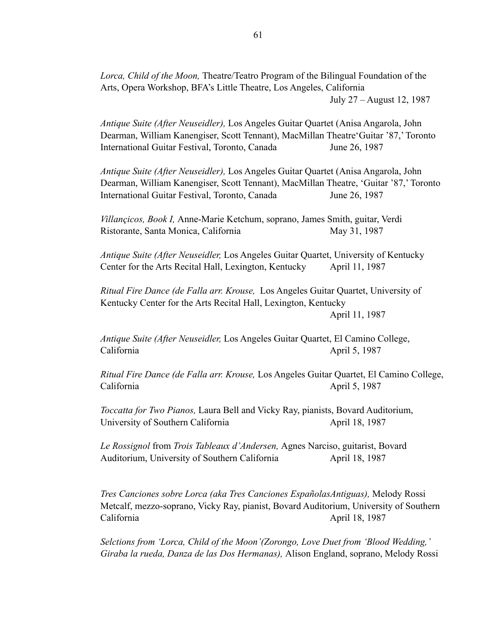*Lorca, Child of the Moon,* Theatre/Teatro Program of the Bilingual Foundation of the Arts, Opera Workshop, BFA's Little Theatre, Los Angeles, California July 27 – August 12, 1987

*Antique Suite (After Neuseidler),* Los Angeles Guitar Quartet (Anisa Angarola, John Dearman, William Kanengiser, Scott Tennant), MacMillan Theatre'Guitar '87,' Toronto International Guitar Festival, Toronto, CanadaJune 26, 1987

*Antique Suite (After Neuseidler),* Los Angeles Guitar Quartet (Anisa Angarola, John Dearman, William Kanengiser, Scott Tennant), MacMillan Theatre, 'Guitar '87,' Toronto International Guitar Festival, Toronto, CanadaJune 26, 1987

*Villançicos, Book I,* Anne-Marie Ketchum, soprano, James Smith, guitar, Verdi Ristorante, Santa Monica, California May 31, 1987

*Antique Suite (After Neuseidler,* Los Angeles Guitar Quartet, University of Kentucky Center for the Arts Recital Hall, Lexington, Kentucky April 11, 1987

*Ritual Fire Dance (de Falla arr. Krouse,* Los Angeles Guitar Quartet, University of Kentucky Center for the Arts Recital Hall, Lexington, Kentucky

April 11, 1987

*Antique Suite (After Neuseidler,* Los Angeles Guitar Quartet, El Camino College, California April 5, 1987

*Ritual Fire Dance (de Falla arr. Krouse,* Los Angeles Guitar Quartet, El Camino College, California April 5, 1987

*Toccatta for Two Pianos,* Laura Bell and Vicky Ray, pianists, Bovard Auditorium, University of Southern California April 18, 1987

*Le Rossignol* from *Trois Tableaux d'Andersen,* Agnes Narciso, guitarist, Bovard Auditorium, University of Southern California April 18, 1987

*Tres Canciones sobre Lorca (aka Tres Canciones EspañolasAntiguas),* Melody Rossi Metcalf, mezzo-soprano, Vicky Ray, pianist, Bovard Auditorium, University of Southern California April 18, 1987

*Selctions from 'Lorca, Child of the Moon'(Zorongo, Love Duet from 'Blood Wedding,' Giraba la rueda, Danza de las Dos Hermanas),* Alison England, soprano, Melody Rossi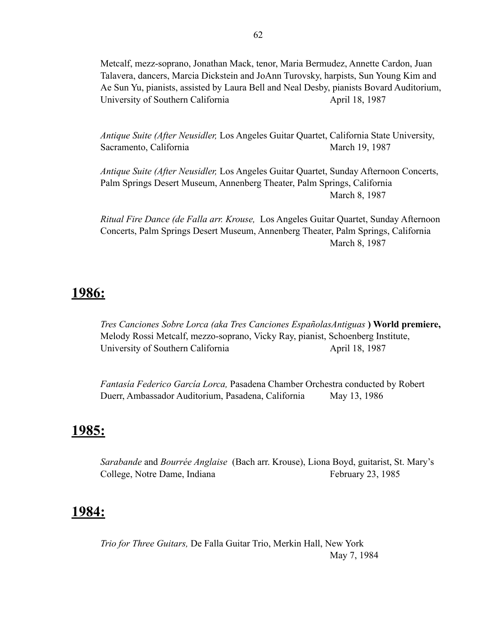Metcalf, mezz-soprano, Jonathan Mack, tenor, Maria Bermudez, Annette Cardon, Juan Talavera, dancers, Marcia Dickstein and JoAnn Turovsky, harpists, Sun Young Kim and Ae Sun Yu, pianists, assisted by Laura Bell and Neal Desby, pianists Bovard Auditorium, University of Southern California April 18, 1987

*Antique Suite (After Neusidler,* Los Angeles Guitar Quartet, California State University, Sacramento, California March 19, 1987

*Antique Suite (After Neusidler,* Los Angeles Guitar Quartet, Sunday Afternoon Concerts, Palm Springs Desert Museum, Annenberg Theater, Palm Springs, California March 8, 1987

*Ritual Fire Dance (de Falla arr. Krouse,* Los Angeles Guitar Quartet, Sunday Afternoon Concerts, Palm Springs Desert Museum, Annenberg Theater, Palm Springs, California March 8, 1987

# **1986:**

*Tres Canciones Sobre Lorca (aka Tres Canciones EspañolasAntiguas* **) World premiere,**  Melody Rossi Metcalf, mezzo-soprano, Vicky Ray, pianist, Schoenberg Institute, University of Southern California April 18, 1987

*Fantasía Federico García Lorca,* Pasadena Chamber Orchestra conducted by Robert Duerr, Ambassador Auditorium, Pasadena, California May 13, 1986

## **1985:**

*Sarabande* and *Bourrée Anglaise* (Bach arr. Krouse), Liona Boyd, guitarist, St. Mary's College, Notre Dame, Indiana February 23, 1985

## **1984:**

*Trio for Three Guitars,* De Falla Guitar Trio, Merkin Hall, New York May 7, 1984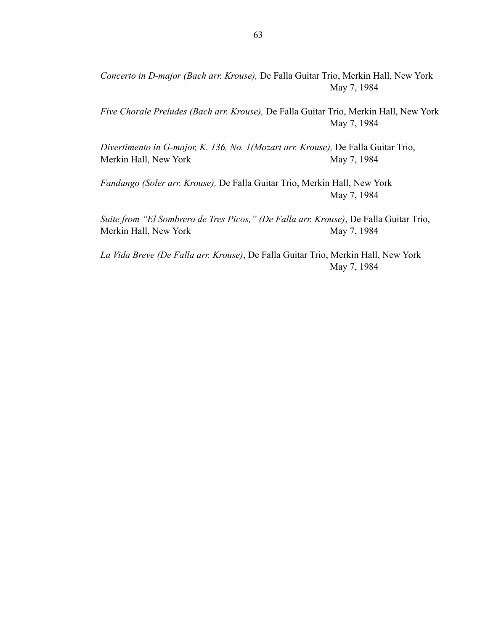*Concerto in D-major (Bach arr. Krouse),* De Falla Guitar Trio, Merkin Hall, New York May 7, 1984

*Five Chorale Preludes (Bach arr. Krouse),* De Falla Guitar Trio, Merkin Hall, New York May 7, 1984

*Divertimento in G-major, K. 136, No. 1(Mozart arr. Krouse),* De Falla Guitar Trio, Merkin Hall, New York May 7, 1984

*Fandango (Soler arr. Krouse),* De Falla Guitar Trio, Merkin Hall, New York May 7, 1984

*Suite from "El Sombrero de Tres Picos," (De Falla arr. Krouse)*, De Falla Guitar Trio, Merkin Hall, New York May 7, 1984

*La Vida Breve (De Falla arr. Krouse)*, De Falla Guitar Trio, Merkin Hall, New York May 7, 1984